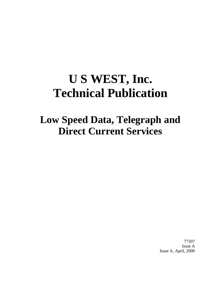# **U S WEST, Inc. Technical Publication**

## **Low Speed Data, Telegraph and Direct Current Services**

77307 Issue A Issue A, April, 2000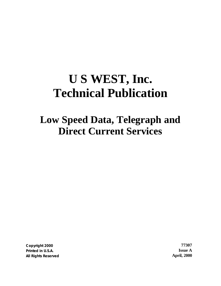# **U S WEST, Inc. Technical Publication**

## **Low Speed Data, Telegraph and Direct Current Services**

**Copyright 2000 77307 Printed in U.S.A. Issue A All Rights Reserved April, 2000**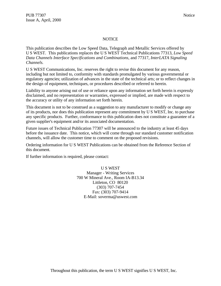#### NOTICE

This publication describes the Low Speed Data, Telegraph and Metallic Services offered by U S WEST. This publications replaces the U S WEST Technical Publications 77313, *Low Speed Data Channels Interface Specifications and Combinations*, and 77317, *InterLATA Signaling Channels.*

U S WEST Communications, Inc. reserves the right to revise this document for any reason, including but not limited to, conformity with standards promulgated by various governmental or regulatory agencies; utilization of advances in the state of the technical arts; or to reflect changes in the design of equipment, techniques, or procedures described or referred to herein.

Liability to anyone arising out of use or reliance upon any information set forth herein is expressly disclaimed, and no representation or warranties, expressed or implied, are made with respect to the accuracy or utility of any information set forth herein.

This document is not to be construed as a suggestion to any manufacturer to modify or change any of its products, nor does this publication represent any commitment by U S WEST, Inc. to purchase any specific products. Further, conformance to this publication does not constitute a guarantee of a given supplier's equipment and/or its associated documentation.

Future issues of Technical Publication 77307 will be announced to the industry at least 45 days before the issuance date. This notice, which will come through our standard customer notification channels, will allow the customer time to comment on the proposed revisions.

Ordering information for U S WEST Publications can be obtained from the Reference Section of this document.

If further information is required, please contact:

U S WEST Manager - Writing Services 700 W Mineral Ave., Room IA-B13.34 Littleton, CO 80120 (303) 707-7454 Fax: (303) 707-9414 E-Mail: soverma@uswest.com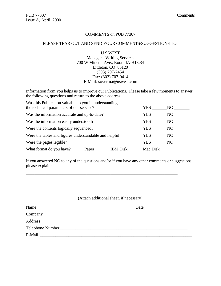#### COMMENTS on PUB 77307

#### PLEASE TEAR OUT AND SEND YOUR COMMENTS/SUGGESTIONS TO:

U S WEST Manager - Writing Services 700 W Mineral Ave., Room IA-B13.34 Littleton, CO 80120 (303) 707-7454 Fax: (303) 707-9414 E-Mail: soverma@uswest.com

Information from you helps us to improve our Publications. Please take a few moments to answer the following questions and return to the above address.

| Was this Publication valuable to you in understanding<br>the technical parameters of our service? |  | YES           | NO. |  |
|---------------------------------------------------------------------------------------------------|--|---------------|-----|--|
| Was the information accurate and up-to-date?                                                      |  | <b>YES</b>    | NO. |  |
| Was the information easily understood?                                                            |  | YES           | NO. |  |
| Were the contents logically sequenced?                                                            |  | YES           | NO. |  |
| Were the tables and figures understandable and helpful                                            |  | YES           | NO  |  |
| Were the pages legible?                                                                           |  | YES FOR THE T | NO. |  |
| What format do you have?<br>Mac Disk<br><b>IBM</b> Disk<br>Paper                                  |  |               |     |  |

If you answered NO to any of the questions and/or if you have any other comments or suggestions, please explain:

\_\_\_\_\_\_\_\_\_\_\_\_\_\_\_\_\_\_\_\_\_\_\_\_\_\_\_\_\_\_\_\_\_\_\_\_\_\_\_\_\_\_\_\_\_\_\_\_\_\_\_\_\_\_\_\_\_\_\_\_\_\_\_\_\_\_\_\_\_\_ \_\_\_\_\_\_\_\_\_\_\_\_\_\_\_\_\_\_\_\_\_\_\_\_\_\_\_\_\_\_\_\_\_\_\_\_\_\_\_\_\_\_\_\_\_\_\_\_\_\_\_\_\_\_\_\_\_\_\_\_\_\_\_\_\_\_\_\_\_\_ \_\_\_\_\_\_\_\_\_\_\_\_\_\_\_\_\_\_\_\_\_\_\_\_\_\_\_\_\_\_\_\_\_\_\_\_\_\_\_\_\_\_\_\_\_\_\_\_\_\_\_\_\_\_\_\_\_\_\_\_\_\_\_\_\_\_\_\_\_\_

| (Attach additional sheet, if necessary) |  |  |  |  |
|-----------------------------------------|--|--|--|--|
|                                         |  |  |  |  |
|                                         |  |  |  |  |
|                                         |  |  |  |  |
|                                         |  |  |  |  |
|                                         |  |  |  |  |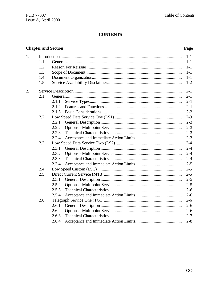## **CONTENTS**

## **Chapter and Section**

## Page

| 1. |     |       | $1-1$   |
|----|-----|-------|---------|
|    | 1.1 |       | $1 - 1$ |
|    | 1.2 |       | $1-1$   |
|    | 1.3 |       | $1-1$   |
|    | 1.4 |       | $1-1$   |
|    | 1.5 |       | $1 - 2$ |
| 2. |     |       | $2 - 1$ |
|    | 2.1 |       | $2 - 1$ |
|    |     | 2.1.1 | $2 - 1$ |
|    |     | 2.1.2 | $2 - 1$ |
|    |     | 2.1.3 | $2 - 2$ |
|    | 2.2 |       | $2 - 3$ |
|    |     | 2.2.1 | $2 - 3$ |
|    |     | 2.2.2 | $2 - 3$ |
|    |     | 2.2.3 | $2 - 3$ |
|    |     | 2.2.4 | $2 - 3$ |
|    | 2.3 |       | $2 - 4$ |
|    |     | 2.3.1 | $2 - 4$ |
|    |     | 2.3.2 | $2 - 4$ |
|    |     | 2.3.3 | $2 - 4$ |
|    |     | 2.3.4 | $2 - 5$ |
|    | 2.4 |       | $2 - 5$ |
|    | 2.5 |       | $2 - 5$ |
|    |     | 2.5.1 | $2 - 5$ |
|    |     | 2.5.2 | $2 - 5$ |
|    |     | 2.5.3 | $2 - 6$ |
|    |     | 2.5.4 | $2 - 6$ |
|    | 2.6 |       | $2 - 6$ |
|    |     | 2.6.1 | $2 - 6$ |
|    |     | 2.6.2 | $2 - 6$ |
|    |     | 2.6.3 | $2 - 7$ |
|    |     | 2.6.4 | $2 - 8$ |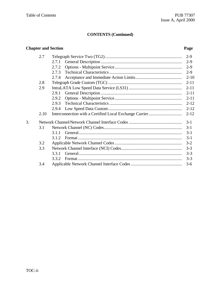## **Chapter and Section Page** 2.7 Telegraph Service Two (TG2)....................................................................... 2-9 2.7.1 General Description ........................................................................... 2-9 2.7.2 Options - Multipoint Service.............................................................. 2-9 2.7.3 Technical Characteristics................................................................... 2-9 2.7.4 Acceptance and Immediate Action Limits........................................... 2-10 2.8 Telegraph Grade Custom (TGC) .................................................................... 2-11 2.9 IntraLATA Low Speed Data Service (LS31) ................................................. 2-11 2.9.1 General Description ........................................................................... 2-11 2.9.2 Options - Multipoint Service.............................................................. 2-11 2.9.3 Technical Characteristics................................................................... 2-12 2.9.4 Low Speed Data Custom.................................................................... 2-12 2.10 Interconnection with a Certified Local Exchange Carrier............................... 2-12 3. Network Channel/Network Channel Interface Codes................................................. 3-1 3.1 Network Channel (NC) Codes........................................................................ 3-1 3.1.1 General............................................................................................... 3-1 3.1.2 Format ................................................................................................ 3-1 3.2 Applicable Network Channel Codes.............................................................. 3-2 3.3 Network Channel Interface (NCI) Codes........................................................ 3-3 3.3.1 General............................................................................................... 3-3 3.3.2 Format ................................................................................................ 3-3 3.4 Applicable Network Channel Interface Codes............................................... 3-6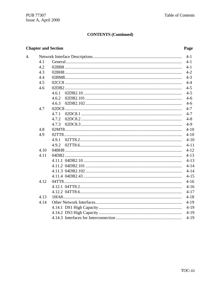## **Chapter and Section**

4.

## Page

|      |       | $4 - 1$  |
|------|-------|----------|
| 4.1  |       | $4-1$    |
| 4.2  |       | $4 - 1$  |
| 4.3  |       | $4 - 2$  |
| 4.4  |       | $4 - 3$  |
| 4.5  |       | $4 - 4$  |
| 4.6  |       | $4 - 5$  |
|      | 4.6.1 | $4 - 5$  |
|      | 4.6.2 | $4 - 6$  |
|      | 4.6.3 | $4 - 6$  |
| 4.7  |       | $4 - 7$  |
|      | 4.7.1 | $4 - 7$  |
|      | 4.7.2 | $4 - 8$  |
|      | 4.7.3 | $4-9$    |
| 4.8  |       | $4 - 10$ |
| 4.9  |       | $4 - 10$ |
|      | 4.9.1 | $4 - 10$ |
|      | 4.9.2 | $4 - 11$ |
| 4.10 |       | $4 - 12$ |
| 4.11 |       | $4 - 13$ |
|      |       | $4 - 13$ |
|      |       | $4 - 14$ |
|      |       | $4 - 14$ |
|      |       | $4 - 15$ |
| 4.12 |       | $4 - 16$ |
|      |       | $4 - 16$ |
|      |       | $4 - 17$ |
| 4.13 |       | $4 - 18$ |
| 4.14 |       | $4 - 19$ |
|      |       | $4-19$   |
|      |       | $4-19$   |
|      |       | $4 - 19$ |
|      |       |          |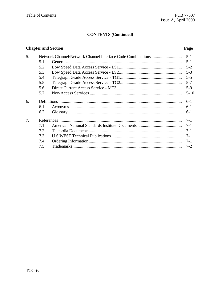## **Chapter and Section**

## Page

| 5. |     |  |          |  |  |  |
|----|-----|--|----------|--|--|--|
|    | 5.1 |  |          |  |  |  |
|    | 5.2 |  |          |  |  |  |
|    | 5.3 |  |          |  |  |  |
|    | 5.4 |  |          |  |  |  |
|    | 5.5 |  |          |  |  |  |
|    | 5.6 |  | $5-9$    |  |  |  |
|    | 5.7 |  | $5 - 10$ |  |  |  |
| 6. |     |  |          |  |  |  |
|    | 6.1 |  | $6-1$    |  |  |  |
|    | 6.2 |  |          |  |  |  |
| 7. |     |  | $7 - 1$  |  |  |  |
|    | 7.1 |  |          |  |  |  |
|    | 7.2 |  |          |  |  |  |
|    | 7.3 |  |          |  |  |  |
|    | 7.4 |  |          |  |  |  |
|    | 7.5 |  | $7 - 2$  |  |  |  |
|    |     |  |          |  |  |  |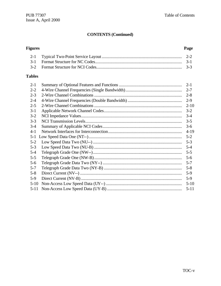#### **Figures** Page  $2-1$  $3-1$  $3 - 2$

#### **Tables**

| $2 - 1$  | $2 - 1$  |
|----------|----------|
| $2 - 2$  |          |
|          | $2 - 7$  |
| $2 - 3$  | $2 - 8$  |
| $2 - 4$  | $2-9$    |
| $2 - 5$  | $2 - 10$ |
| $3 - 1$  | $3 - 2$  |
| $3-2$    | $3 - 4$  |
| $3 - 3$  | $3 - 5$  |
| $3-4$    | $3-6$    |
| $4 - 1$  | $4-19$   |
| $5 - 1$  | $5 - 2$  |
| $5 - 2$  | $5 - 3$  |
| $5 - 3$  | $5 - 4$  |
| $5 - 4$  | $5 - 5$  |
| $5 - 5$  | $5 - 6$  |
| $5 - 6$  | $5 - 7$  |
| $5 - 7$  | $5 - 8$  |
| $5 - 8$  | $5-9$    |
| $5-9$    | $5-9$    |
| $5-10$   | $5-10$   |
| $5 - 11$ | $5 - 11$ |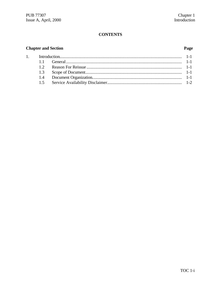## **CONTENTS**

## **Chapter and Section**

## Page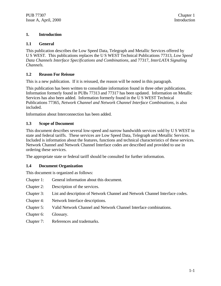#### **1. Introduction**

#### **1.1 General**

This publication describes the Low Speed Data, Telegraph and Metallic Services offered by U S WEST. This publications replaces the U S WEST Technical Publications 77313, *Low Speed Data Channels Interface Specifications and Combinations*, and 77317, *InterLATA Signaling Channels.*

### **1.2 Reason For Reissue**

This is a new publication. If it is reissued, the reason will be noted in this paragraph.

This publication has been written to consolidate information found in three other publications. Information formerly found in PUBs 77313 and 77317 has been updated. Information on Metallic Services has also been added. Information formerly found in the U S WEST Technical Publications 77365, *Network Channel and Network Channel Interface Combinations*, is also included.

Information about Interconnection has been added.

#### **1.3 Scope of Document**

This document describes several low-speed and narrow bandwidth services sold by U S WEST in state and federal tariffs. These services are Low Speed Data, Telegraph and Metallic Services. Included is information about the features, functions and technical characteristics of these services. Network Channel and Network Channel Interface codes are described and provided to use in ordering these services.

The appropriate state or federal tariff should be consulted for further information.

#### **1.4 Document Organization**

This document is organized as follows:

- Chapter 1: General information about this document.
- Chapter 2: Description of the services.
- Chapter 3: List and description of Network Channel and Network Channel Interface codes.
- Chapter 4: Network Interface descriptions.
- Chapter 5: Valid Network Channel and Network Channel Interface combinations.
- Chapter 6: Glossary.
- Chapter 7: References and trademarks.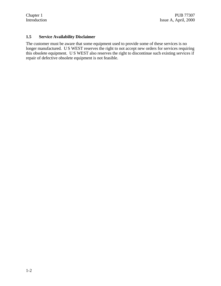#### **1.5 Service Availability Disclaimer**

The customer must be aware that some equipment used to provide some of these services is no longer manufactured. U S WEST reserves the right to not accept new orders for services requiring this obsolete equipment. U S WEST also reserves the right to discontinue such existing services if repair of defective obsolete equipment is not feasible.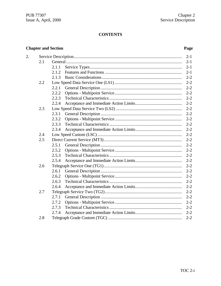## **CONTENTS**

## **Chapter and Section**

## Page

| 2. |     | $2 - 1$          |  |
|----|-----|------------------|--|
|    | 2.1 | $2 - 1$          |  |
|    |     | 2.1.1<br>$2 - 1$ |  |
|    |     | $2 - 1$<br>2.1.2 |  |
|    |     | $2 - 2$<br>2.1.3 |  |
|    | 2.2 | $2 - 2$          |  |
|    |     | $2 - 2$<br>2.2.1 |  |
|    |     | 2.2.2<br>$2 - 2$ |  |
|    |     | 2.2.3<br>$2 - 2$ |  |
|    |     | $2 - 2$<br>2.2.4 |  |
|    | 2.3 | $2 - 2$          |  |
|    |     | $2 - 2$<br>2.3.1 |  |
|    |     | 2.3.2<br>$2 - 2$ |  |
|    |     | $2 - 2$<br>2.3.3 |  |
|    |     | $2 - 2$<br>2.3.4 |  |
|    | 2.4 | $2 - 2$          |  |
|    | 2.5 | $2 - 2$          |  |
|    |     | $2 - 2$<br>2.5.1 |  |
|    |     | 2.5.2<br>$2 - 2$ |  |
|    |     | $2 - 2$<br>2.5.3 |  |
|    |     | $2 - 2$<br>2.5.4 |  |
|    | 2.6 | $2 - 2$          |  |
|    |     | $2 - 2$<br>2.6.1 |  |
|    |     | $2 - 2$<br>2.6.2 |  |
|    |     | $2 - 2$<br>2.6.3 |  |
|    |     | $2 - 2$<br>2.6.4 |  |
|    | 2.7 | $2 - 2$          |  |
|    |     | 2.7.1<br>$2 - 2$ |  |
|    |     | $2 - 2$<br>2.7.2 |  |
|    |     | $2 - 2$<br>2.7.3 |  |
|    |     | $2 - 2$<br>2.7.4 |  |
|    | 2.8 | $2 - 2$          |  |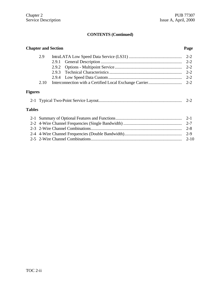| <b>Chapter and Section</b><br>Page |  |         |  |  |  |  |  |
|------------------------------------|--|---------|--|--|--|--|--|
| 2.9                                |  | $2 - 2$ |  |  |  |  |  |
|                                    |  |         |  |  |  |  |  |
|                                    |  | $2 - 2$ |  |  |  |  |  |
|                                    |  | $2 - 2$ |  |  |  |  |  |
| 2.10                               |  |         |  |  |  |  |  |
| <b>Figures</b>                     |  |         |  |  |  |  |  |

## 2-1 Typical Two-Point Service Layout............................................................................. 2-2

## **Tables**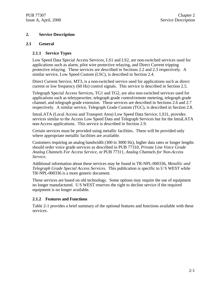#### **2. Service Description**

#### **2.1 General**

#### **2.1.1 Service Types**

Low Speed Data Special Access Services, LS1 and LS2, are non-switched services used for applications such as alarm, pilot wire protective relaying, and Direct Current tripping protective relaying. These services are described in Sections 2.2 and 2.3 respectively. A similar service, Low Speed Custom (LSC), is described in Section 2.4.

Direct Current Service, MT3, is a non-switched service used for applications such as direct current or low frequency (60 Hz) control signals. This service is described in Section 2.5.

Telegraph Special Access Services, TG1 and TG2, are also non-switched services used for applications such as teletypewriter, telegraph grade control/remote metering, telegraph grade channel, and telegraph grade extension. These services are described in Sections 2.6 and 2.7 respectively. A similar service, Telegraph Grade Custom (TGC), is described in Section 2.8.

IntraLATA (Local Access and Transport Area) Low Speed Data Service, LS31, provides services similar to the Access Low Speed Data and Telegraph Services but for the IntraLATA non-Access applications. This service is described in Section 2.9.

Certain services must be provided using metallic facilities. These will be provided only where appropriate metallic facilities are available.

Customers requiring an analog bandwidth (300 to 3000 Hz), higher data rates or longer lengths should order voice grade services as described in PUB 77310, *Private Line Voice Grade Analog Channels For Access Service,* or PUB 77311, *Analog Channels for Non-Access Service.*

Additional information about these services may be found in TR-NPL-000336, *Metallic and Telegraph Grade Special Access Services.* This publication is specific to U S WEST while TR-NPL-000336 is a more generic document.

These services are based on old technology. Some options may require the use of equipment no longer manufactured. U S WEST reserves the right to decline service if the required equipment is no longer available.

#### **2.1.2 Features and Functions**

Table 2-1 provides a brief summary of the optional features and functions available with these services.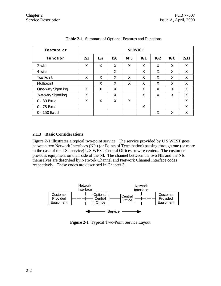| Feature or        |     | <b>SERVICE</b>  |            |                  |     |                 |            |             |  |
|-------------------|-----|-----------------|------------|------------------|-----|-----------------|------------|-------------|--|
| <b>Function</b>   | LS1 | LS <sub>2</sub> | <b>LSC</b> | M <sub>T</sub> 3 | TG1 | TG <sub>2</sub> | <b>TGC</b> | <b>LS31</b> |  |
| 2-wire            | Χ   | X               | X          | X                | X   | X               | X          | X           |  |
| 4-wire            |     |                 | X          |                  | X   | X               | X          | X           |  |
| <b>Two Point</b>  | X   | X               | X          | X                | X   | X               | X          | X           |  |
| Multipoint        |     | X               | X          | X                | X   | X               | X          | X           |  |
| One-way Signaling | X   | X               | Χ          |                  | X   | X               | X          | X           |  |
| Two-way Signaling | Χ   |                 | Χ          |                  | X   | X               | X          | X           |  |
| 0 - 30 Baud       | Χ   | X               | X          | X                |     |                 |            | X           |  |
| 0 - 75 Baud       |     |                 |            |                  | X   |                 |            | Χ           |  |
| 0 - 150 Baud      |     |                 |            |                  |     | X               | X          | Χ           |  |

**Table 2-1** Summary of Optional Features and Functions

#### **2.1.3 Basic Considerations**

Figure 2-1 illustrates a typical two-point service. The service provided by U S WEST goes between two Network Interfaces (NIs) (or Points of Termination) passing through one (or more in the case of the LS2 service) U S WEST Central Offices or wire centers. The customer provides equipment on their side of the NI. The channel between the two NIs and the NIs themselves are described by Network Channel and Network Channel Interface codes respectively. These codes are described in Chapter 3.



**Figure 2-1** Typical Two-Point Service Layout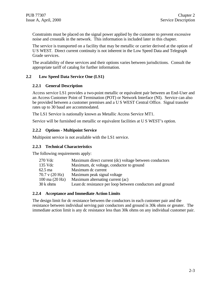Constraints must be placed on the signal power applied by the customer to prevent excessive noise and crosstalk in the network. This information is included later in this chapter.

The service is transported on a facility that may be metallic or carrier derived at the option of U S WEST. Direct current continuity is not inherent in the Low Speed Data and Telegraph Grade services.

The availability of these services and their options varies between jurisdictions. Consult the appropriate tariff of catalog for further information.

#### **2.2 Low Speed Data Service One (LS1)**

#### **2.2.1 General Description**

Access service LS1 provides a two-point metallic or equivalent pair between an End-User and an Access Customer Point of Termination (POT) or Network Interface (NI). Service can also be provided between a customer premises and a U S WEST Central Office. Signal transfer rates up to 30 baud are accommodated.

The LS1 Service is nationally known as Metallic Access Service MT1.

Service will be furnished on metallic or equivalent facilities at U S WEST's option.

#### **2.2.2 Options - Multipoint Service**

Multipoint service is not available with the LS1 service.

#### **2.2.3 Technical Characteristics**

The following requirements apply:

| 270 Vdc                          | Maximum direct current (dc) voltage between conductors     |
|----------------------------------|------------------------------------------------------------|
| 135 Vdc                          | Maximum, dc voltage, conductor to ground                   |
| $62.5 \text{ ma}$                | Maximum dc current                                         |
| $70.7$ v $(20 \text{ Hz})$       | Maximum peak signal voltage                                |
| $100 \text{ ma} (20 \text{ Hz})$ | Maximum alternating current (ac)                           |
| 30 k ohms                        | Least dc resistance per loop between conductors and ground |

#### **2.2.4 Acceptance and Immediate Action Limits**

The design limit for dc resistance between the conductors in each customer pair and the resistance between individual serving pair conductors and ground is 30k ohms or greater. The immediate action limit is any dc resistance less than 30k ohms on any individual customer pair.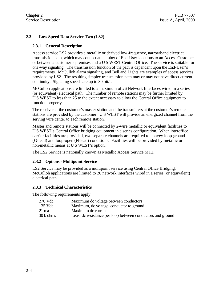## **2.3 Low Speed Data Service Two (LS2)**

#### **2.3.1 General Description**

Access service LS2 provides a metallic or derived low-frequency, narrowband electrical transmission path, which may connect an number of End-User locations to an Access Customer or between a customer's premises and a U S WEST Central Office. The service is suitable for one-way signaling. The transmission function of the path is dependent upon the End-User's requirements. McCulloh alarm signaling, and Bell and Lights are examples of access services provided by LS2. The resulting simplex transmission path may or may not have direct current continuity. Signaling speeds are up to 30 bit/s.

McCulloh applications are limited to a maximum of 26 Network Interfaces wired in a series (or equivalent) electrical path. The number of remote stations may be further limited by U S WEST to less than 25 to the extent necessary to allow the Central Office equipment to function properly.

The receiver at the customer's master station and the transmitters at the customer's remote stations are provided by the customer. U S WEST will provide an energized channel from the serving wire center to each remote station.

Master and remote stations will be connected by 2-wire metallic or equivalent facilities to U S WEST's Central Office bridging equipment in a series configuration. When interoffice carrier facilities are provided, two separate channels are required to convey loop-ground (G-lead) and loop-open (N-lead) conditions. Facilities will be provided by metallic or non-metallic means at U S WEST's option.

The LS2 Service is nationally known as Metallic Access Service MT2.

#### **2.3.2 Options - Multipoint Service**

LS2 Service may be provided as a multipoint service using Central Office Bridging. McCulloh applications are limited to 26 network interfaces wired in a series (or equivalent) electrical path.

#### **2.3.3 Technical Characteristics**

The following requirements apply:

| 270 Vdc   | Maximum dc voltage between conductors                      |
|-----------|------------------------------------------------------------|
| 135 Vdc   | Maximum, dc voltage, conductor to ground                   |
| 21 ma     | Maximum de current                                         |
| 30 k ohms | Least dc resistance per loop between conductors and ground |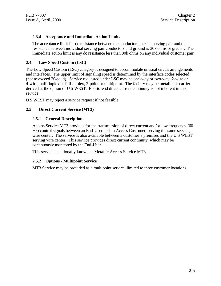#### **2.3.4 Acceptance and Immediate Action Limits**

The acceptance limit for dc resistance between the conductors in each serving pair and the resistance between individual serving pair conductors and ground is 30k ohms or greater. The immediate action limit is any dc resistance less than 30k ohms on any individual customer pair.

#### **2.4 Low Speed Custom (LSC)**

The Low Speed Custom (LSC) category is designed to accommodate unusual circuit arrangements and interfaces. The upper limit of signaling speed is determined by the interface codes selected (not to exceed 30 baud). Service requested under LSC may be one-way or two-way, 2-wire or 4-wire, half-duplex or full-duplex, 2-point or multipoint. The facility may be metallic or carrier derived at the option of U S WEST. End-to-end direct current continuity is not inherent in this service.

U S WEST may reject a service request if not feasible.

#### **2.5 Direct Current Service (MT3)**

#### **2.5.1 General Description**

Access Service MT3 provides for the transmission of direct current and/or low-frequency (60 Hz) control signals between an End-User and an Access Customer, serving the same serving wire center. The service is also available between a customer's premises and the U S WEST serving wire center. This service provides direct current continuity, which may be continuously monitored by the End-User.

This service is nationally known as Metallic Access Service MT3.

#### **2.5.2 Options - Multipoint Service**

MT3 Service may be provided as a multipoint service, limited to three customer locations.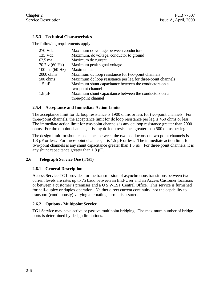## **2.5.3 Technical Characteristics**

The following requirements apply:

| 270 Vdc                          | Maximum dc voltage between conductors                       |
|----------------------------------|-------------------------------------------------------------|
| 135 Vdc                          | Maximum, dc voltage, conductor to ground                    |
| $62.5 \text{ ma}$                | Maximum dc current                                          |
| 70.7 v (60 Hz)                   | Maximum peak signal voltage                                 |
| $100 \text{ ma} (60 \text{ Hz})$ | Maximum ac                                                  |
| 2000 ohms                        | Maximum de loop resistance for two-point channels           |
| 500 ohms                         | Maximum de loop resistance per leg for three-point channels |
| $1.5 \mu F$                      | Maximum shunt capacitance between the conductors on a       |
|                                  | two-point channel                                           |
| $1.8 \mu F$                      | Maximum shunt capacitance between the conductors on a       |
|                                  | three-point channel                                         |

#### **2.5.4 Acceptance and Immediate Action Limits**

The acceptance limit for dc loop resistance is 1900 ohms or less for two-point channels. For three-point channels, the acceptance limit for dc loop resistance per leg is 450 ohms or less. The immediate action limit for two-point channels is any dc loop resistance greater than 2000 ohms. For three-point channels, it is any dc loop resistance greater than 500 ohms per leg.

The design limit for shunt capacitance between the two conductors on two-point channels is 1.3  $\mu$ F or less. For three-point channels, it is 1.5  $\mu$ F or less. The immediate action limit for two-point channels is any shunt capacitance greater than 1.5 µF. For three-point channels, it is any shunt capacitance greater than 1.8 µF.

#### **2.6 Telegraph Service One (TG1)**

#### **2.6.1 General Description**

Access Service TG1 provides for the transmission of asynchronous transitions between two current levels are rates up to 75 baud between an End-User and an Access Customer locations or between a customer's premises and a U S WEST Central Office. This service is furnished for half-duplex or duplex operation. Neither direct current continuity, nor the capability to transport (continuously) varying alternating current is assured.

#### **2.6.2 Options - Multipoint Service**

TG1 Service may have active or passive multipoint bridging. The maximum number of bridge ports is determined by design limitations.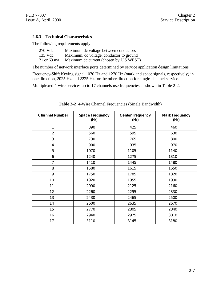#### **2.6.3 Technical Characteristics**

The following requirements apply:

| 270 Vdc     | Maximum dc voltage between conductors    |
|-------------|------------------------------------------|
| 135 Vdc     | Maximum, dc voltage, conductor to ground |
| 21 or 63 ma | Maximum dc current (chosen by U S WEST)  |

The number of network interface ports determined by service application design limitations.

Frequency-Shift Keying signal 1070 Hz and 1270 Hz (mark and space signals, respectively) in one direction, 2025 Hz and 2225 Hz for the other direction for single-channel service.

Multiplexed 4-wire services up to 17 channels use frequencies as shown in Table 2-2.

| <b>Channel Number</b> | <b>Space Frequency</b><br>(Hz) | <b>Center Frequency</b><br>(Hz) | <b>Mark Frequency</b><br>(Hz) |  |
|-----------------------|--------------------------------|---------------------------------|-------------------------------|--|
| 1                     | 390                            | 425                             | 460                           |  |
| $\overline{2}$        | 560                            | 595                             | 630                           |  |
| 3                     | 730                            | 765                             | 800                           |  |
| $\overline{4}$        | 900                            | 935                             | 970                           |  |
| 5                     | 1070                           | 1105                            | 1140                          |  |
| 6                     | 1240                           | 1275                            | 1310                          |  |
| 7<br>1410             |                                | 1445                            | 1480                          |  |
| 8<br>1580             |                                | 1615                            | 1650                          |  |
| 9                     | 1750                           | 1785                            | 1820                          |  |
| 10                    | 1920                           | 1955                            | 1990                          |  |
| 11                    | 2090                           | 2125                            | 2160                          |  |
| 12                    | 2260                           | 2295                            | 2330                          |  |
| 13                    | 2430                           | 2465                            | 2500                          |  |
| 14                    | 2600                           | 2635                            | 2670                          |  |
| 15                    | 2770                           | 2805                            | 2840                          |  |
| 16                    | 2940                           | 2975                            | 3010                          |  |
| 17                    | 3110                           | 3145                            | 3180                          |  |

**Table 2-2** 4-Wire Channel Frequencies (Single Bandwidth)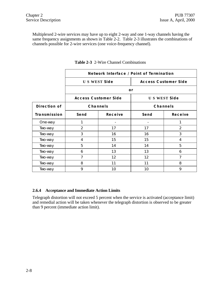Multiplexed 2-wire services may have up to eight 2-way and one 1-way channels having the same frequency assignments as shown in Table 2-2. Table 2-3 illustrates the combinations of channels possible for 2-wire services (one voice-frequency channel).

|              | Network Interface / Point of Termination |         |                             |               |  |  |  |
|--------------|------------------------------------------|---------|-----------------------------|---------------|--|--|--|
|              | <b>US WEST Side</b>                      |         | <b>Access Customer Side</b> |               |  |  |  |
|              |                                          | or      |                             |               |  |  |  |
|              | <b>Access Customer Side</b>              |         | <b>US WEST Side</b>         |               |  |  |  |
| Direction of | <b>Channels</b>                          |         | <b>Channels</b>             |               |  |  |  |
| Transmission | Send                                     | Receive | Send<br>Receive             |               |  |  |  |
| One-way      | 1                                        |         |                             | 1             |  |  |  |
| Two-way      | 2                                        | 17      | 17                          | $\mathcal{P}$ |  |  |  |
| Two-way      | 3                                        | 16      | 16                          | 3             |  |  |  |
| Two-way      | 4                                        | 15      | 15                          | 4             |  |  |  |
| Two-way      | 5                                        | 14      | 14                          | 5             |  |  |  |
| Two-way      | 6                                        | 13      | 13                          | 6             |  |  |  |
| Two-way      | 7                                        | 12      | 12                          | 7             |  |  |  |
| Two-way      | 8                                        | 11      | 11                          | 8             |  |  |  |
| Two-way      | 9                                        | 10      | 10                          | 9             |  |  |  |

**Table 2-3** 2-Wire Channel Combinations

#### **2.6.4 Acceptance and Immediate Action Limits**

Telegraph distortion will not exceed 5 percent when the service is activated (acceptance limit) and remedial action will be taken whenever the telegraph distortion is observed to be greater than 9 percent (immediate action limit).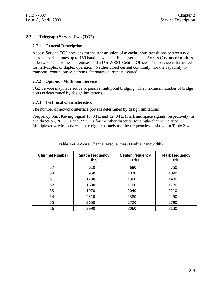#### **2.7 Telegraph Service Two (TG2)**

#### **2.7.1 General Description**

Access Service TG2 provides for the transmission of asynchronous transitions between two current levels at rates up to 150 baud between an End-User and an Access Customer locations or between a customer's premises and a U S WEST Central Office. This service is furnished for half-duplex or duplex operation. Neither direct current continuity, nor the capability to transport (continuously) varying alternating current is assured.

#### **2.7.2 Options - Multipoint Service**

TG2 Service may have active or passive multipoint bridging. The maximum number of bridge ports is determined by design limitations.

#### **2.7.3 Technical Characteristics**

The number of network interface ports is determined by design limitations.

Frequency Shift Keying Signal 1070 Hz and 1270 Hz (mark and space signals, respectively) in one direction, 2025 Hz and 2225 Hz for the other direction for single-channel service. Multiplexed 4-wire services up to eight channels use the frequencies as shown in Table 2-4.

| <b>Channel Number</b> | <b>Space Frequency</b><br>(Hz) | <b>Center Frequency</b><br>(Hz) |      |
|-----------------------|--------------------------------|---------------------------------|------|
| 57                    | 610                            | 680                             | 750  |
| 58                    | 950                            | 1020                            | 1090 |
| 51                    | 1290                           | 1360                            | 1430 |
| 52                    | 1630                           | 1700                            | 1770 |
| 53                    | 1970                           | 2040                            | 2110 |
| 54                    | 2310                           | 2380                            | 2450 |
| 55                    | 2650                           | 2720                            | 2790 |
| 56                    | 2990                           | 3060                            | 3130 |

**Table 2-4** 4-Wire Channel Frequencies (Double Bandwidth)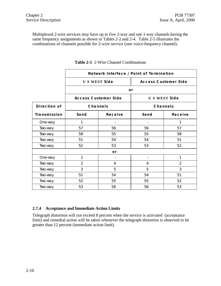Multiplexed 2-wire services may have up to five 2-way and one 1-way channels having the same frequency assignments as shown in Tables 2-2 and 2-4. Table 2-5 illustrates the combinations of channels possible for 2-wire service (one voice-frequency channel).

|              | Network Interface / Point of Termination           |                             |                          |                     |  |  |  |
|--------------|----------------------------------------------------|-----------------------------|--------------------------|---------------------|--|--|--|
|              | <b>US WEST Side</b><br><b>Access Customer Side</b> |                             |                          |                     |  |  |  |
|              |                                                    |                             | or                       |                     |  |  |  |
|              |                                                    | <b>Access Customer Side</b> |                          | <b>US WEST Side</b> |  |  |  |
| Direction of |                                                    | <b>Channels</b>             |                          | Channels            |  |  |  |
| Transmission | Send                                               | Receive                     | Send                     | Receive             |  |  |  |
| One-way      | 1                                                  |                             |                          | 1                   |  |  |  |
| Two-way      | 57                                                 | 56                          | 56                       | 57                  |  |  |  |
| Two-way      | 58                                                 | 55                          | 55                       | 58                  |  |  |  |
| Two-way      | 51                                                 | 54                          | 54                       | 51                  |  |  |  |
| Two-way      | 52                                                 | 53                          | 53                       | 52                  |  |  |  |
|              |                                                    | or                          |                          |                     |  |  |  |
| One-way      | 1                                                  |                             | $\overline{\phantom{a}}$ | 1                   |  |  |  |
| Two-way      | 2                                                  | 4                           | 4                        | 2                   |  |  |  |
| Two-way      | 3                                                  | 5                           | 5                        | 3                   |  |  |  |
| Two-way      | 51                                                 | 54                          | 54                       | 51                  |  |  |  |
| Two-way      | 52                                                 | 55                          | 55                       | 52                  |  |  |  |
| Two-way      | 53                                                 | 56                          | 56                       | 53                  |  |  |  |

**Table 2-5** 2-Wire Channel Combinations

#### **2.7.4 Acceptance and Immediate Action Limits**

Telegraph distortion will not exceed 8 percent when the service is activated (acceptance limit) and remedial action will be taken whenever the telegraph distortion is observed to be greater than 12 percent (immediate action limit).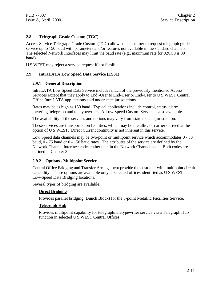## **2.8 Telegraph Grade Custom (TGC)**

Access Service Telegraph Grade Custom (TGC) allows the customer to request telegraph grade service up to 150 baud with parameters and/or features not available in the standard channels. The selected Network Interfaces may limit the baud rate (e.g., maximum rate for 02CC8 is 30 baud).

U S WEST may reject a service request if not feasible.

#### **2.9 IntraLATA Low Speed Data Service (LS31)**

#### **2.9.1 General Description**

IntraLATA Low Speed Data Service includes much of the previously mentioned Access Services except that they apply to End -User to End-User or End-User to U S WEST Central Office IntraLATA applications sold under state jurisdictions.

Rates may be as high as 150 baud. Typical applications include control, status, alarm, metering, telegraph and teletypewriter. A Low Speed Custom Service is also available.

The availability of the services and options may vary from state to state jurisdiction.

These services are transported on facilities, which may be metallic, or carrier derived at the option of U S WEST. Direct Current continuity is not inherent in this service.

Low Speed data channels may be two-point or multipoint service which accommodates 0 - 30 baud, 0 - 75 baud or 0 - 150 baud rates. The attributes of the service are defined by the Network Channel Interface codes rather than in the Network Channel code. Both codes are defined in Chapter 3.

#### **2.9.2 Options - Multipoint Service**

Central Office Bridging and Transfer Arrangement provide the customer with multipoint circuit capability. These options are available only at selected offices identified as U S WEST Low-Speed Data Bridging locations.

Several types of bridging are available:

#### **Direct Bridging**

Provides parallel bridging (Bunch Block) for the 3-point Metallic Facilities Service.

#### **Telegraph Hub**

Provides multipoint capability for telegraph/teletypewriter service via a Telegraph Hub function in selected U S WEST Central Offices.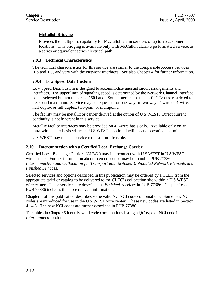## **McCulloh Bridging**

Provides the multipoint capability for McCulloh alarm services of up to 26 customer locations. This bridging is available only with McCulloh alarm-type formatted service, as a series or equivalent series electrical path.

## **2.9.3 Technical Characteristics**

The technical characteristics for this service are similar to the comparable Access Services (LS and TG) and vary with the Network Interfaces. See also Chapter 4 for further information.

### **2.9.4 Low Speed Data Custom**

Low Speed Data Custom is designed to accommodate unusual circuit arrangements and interfaces. The upper limit of signaling speed is determined by the Network Channel Interface codes selected but not to exceed 150 baud. Some interfaces (such as 02CC8) are restricted to a 30 baud maximum. Service may be requested for one-way or two-way, 2-wire or 4-wire, half duplex or full duplex, two-point or multipoint.

The facility may be metallic or carrier derived at the option of U S WEST. Direct current continuity is not inherent in this service.

Metallic facility interfaces may be provided on a 2-wire basis only. Available only on an intra-wire center basis where, at U S WEST's option, facilities and operations permit.

U S WEST may reject a service request if not feasible.

#### **2.10 Interconnection with a Certified Local Exchange Carrier**

Certified Local Exchange Carriers (CLECs) may interconnect with U S WEST in U S WEST's wire centers. Further information about interconnection may be found in PUB 77386, *Interconnection and Collocation for Transport and Switched Unbundled Network Elements and Finished Services.*

Selected services and options described in this publication may be ordered by a CLEC from the appropriate tariff or catalog to be delivered to the CLEC's collocation site within a U S WEST wire center. These services are described as *Finished Services* in PUB 77386. Chapter 16 of PUB 77386 includes the more relevant information.

Chapter 5 of this publication describes some valid NC/NCI code combinations. Some new NCI codes are introduced for use in the U S WEST wire center. These new codes are listed in Section 4.14.3. The new NCI codes are further described in PUB 77386.

The tables in Chapter 5 identify valid code combinations listing a *QC*-type of NCI code in the *Interconnector* column.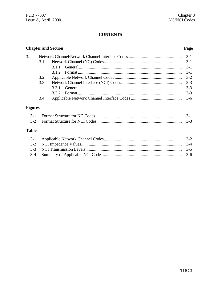## **CONTENTS**

|                |     | <b>Chapter and Section</b> | Page    |
|----------------|-----|----------------------------|---------|
| 3.             |     |                            | $3-1$   |
|                | 3.1 |                            | $3-1$   |
|                |     | 3.1.1                      | $3-1$   |
|                |     | 3.1.2                      | $3-1$   |
|                | 3.2 |                            | $3 - 2$ |
|                | 3.3 |                            | $3 - 3$ |
|                |     | 3.3.1                      | $3 - 3$ |
|                |     | 3.3.2                      | $3 - 3$ |
|                | 3.4 |                            | $3-6$   |
| <b>Figures</b> |     |                            |         |
| $3-1$          |     |                            | $3-1$   |
| $3 - 2$        |     |                            | $3-3$   |
| <b>Tables</b>  |     |                            |         |
| $3-1$          |     |                            | $3-2$   |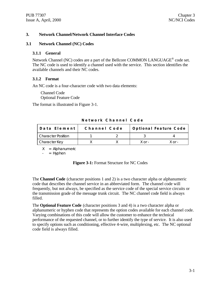#### **3. Network Channel/Network Channel Interface Codes**

#### **3.1 Network Channel (NC) Codes**

#### **3.1.1 General**

Network Channel (NC) codes are a part of the Bellcore COMMON LANGUAGE<sup>®</sup> code set. The NC code is used to identify a channel used with the service. This section identifies the available channels and their NC codes.

#### **3.1.2 Format**

An NC code is a four-character code with two data elements:

Channel Code Optional Feature Code

The format is illustrated in Figure 3-1.

| Data Element         | Channel Code | <b>Optional Feature Code</b> |        |  |  |
|----------------------|--------------|------------------------------|--------|--|--|
| l Character Position |              |                              |        |  |  |
| Character Key        |              | $X$ or $-$                   | X ∩r - |  |  |

**Network Channel Code**

 $X =$  Alphanumeric

 $=$  Hyphen

#### **Figure 3-1:** Format Structure for NC Codes

The **Channel Code** (character positions 1 and 2) is a two character alpha or alphanumeric code that describes the channel service in an abbreviated form. The channel code will frequently, but not always, be specified as the service code of the special service circuits or the transmission grade of the message trunk circuit. The NC channel code field is always filled.

The **Optional Feature Code** (character positions 3 and 4) is a two character alpha or alphanumeric or hyphen code that represents the option codes available for each channel code. Varying combinations of this code will allow the customer to enhance the technical performance of the requested channel, or to further identify the type of service. It is also used to specify options such as conditioning, effective 4-wire, multiplexing, etc. The NC optional code field is always filled.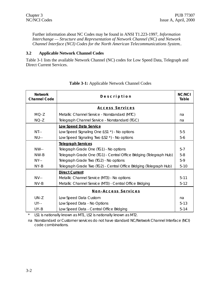Further information about NC Codes may be found in ANSI T1.223-1997, *Information Interchange — Structure and Representation of Network Channel (NC) and Network Channel Interface (NCI) Codes for the North American Telecommunications System.*.

#### **3.2 Applicable Network Channel Codes**

Table 3-1 lists the available Network Channel (NC) codes for Low Speed Data, Telegraph and Direct Current Services.

| <b>Network</b><br><b>Channel Code</b> | Description                                                         |          |  |  |  |  |  |
|---------------------------------------|---------------------------------------------------------------------|----------|--|--|--|--|--|
|                                       | Access Services                                                     |          |  |  |  |  |  |
| $MO-Z$                                | Metallic Channel Service - Nonstandard (MTC)                        | na       |  |  |  |  |  |
| $NO-Z$                                | Telegraph Channel Service - Nonstandard (TGC)                       | na       |  |  |  |  |  |
|                                       | <b>Low Speed Data Service</b>                                       |          |  |  |  |  |  |
| $NT - -$                              | Low Speed Signaling One (LS1 *) - No options                        | $5-5$    |  |  |  |  |  |
| $NU-$                                 | Low Speed Signaling Two (LS2 $*$ ) - No options                     | $5-6$    |  |  |  |  |  |
|                                       | <b>Telegraph Services</b>                                           |          |  |  |  |  |  |
| $NW -$                                | Telegraph Grade One (TG1) - No options                              | $5 - 7$  |  |  |  |  |  |
| $NW-B$                                | Telegraph Grade One (TG1) - Central Office Bridging (Telegraph Hub) | $5-8$    |  |  |  |  |  |
| $NY - -$                              | Telegraph Grade Two (TG2) - No options                              | $5-9$    |  |  |  |  |  |
| $NY-B$                                | Telegraph Grade Two (TG2) - Central Office Bridging (Telegraph Hub) | $5-10$   |  |  |  |  |  |
|                                       | <b>Direct Current</b>                                               |          |  |  |  |  |  |
| $NV - -$                              | Metallic Channel Service (MT3) - No options                         | $5 - 11$ |  |  |  |  |  |
| $NV - B$                              | Metallic Channel Service (MT3) - Central Office Bridging            | $5-12$   |  |  |  |  |  |
|                                       | Non-Access Services                                                 |          |  |  |  |  |  |
| $UN-Z$                                | Low Speed Data Custom                                               | na       |  |  |  |  |  |
| $UY - -$                              | Low Speed Data - No Options                                         | $5 - 13$ |  |  |  |  |  |
| $UY - B$                              | Low Speed Data - Central Office Bridging                            | $5 - 14$ |  |  |  |  |  |

#### **Table 3-1:** Applicable Network Channel Codes

\* LS1 is nationally known as MT1, LS2 is nationally known as MT2.

na Nonstandard or Customer services do not have standard NC/Network Channel Interface (NCI) code combinations.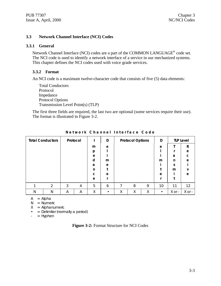#### **3.3 Network Channel Interface (NCI) Codes**

#### **3.3.1 General**

Network Channel Interface (NCI) codes are a part of the COMMON LANGUAGE<sup>®</sup> code set. The NCI code is used to identify a network interface of a service in our mechanized systems. This chapter defines the NCI codes used with voice grade services.

#### **3.3.2 Format**

An NCI code is a maximum twelve-character code that consists of five (5) data elements:

Total Conductors Protocol Impedance Protocol Options Transmission Level Point(s) (TLP)

The first three fields are required, the last two are optional (some services require their use). The format is illustrated in Figure 3-2.

|   | <b>Total Conductors</b> |   | Protocol |   | D | <b>Protocol Options</b> |   | D |    | <b>TLP Level</b> |              |
|---|-------------------------|---|----------|---|---|-------------------------|---|---|----|------------------|--------------|
|   |                         |   |          | m | e |                         |   |   | e  |                  | R            |
|   |                         |   |          | p |   |                         |   |   |    |                  | e            |
|   |                         |   |          | e |   |                         |   |   |    | a                | $\mathbf{C}$ |
|   |                         |   |          | d | m |                         |   |   | m  | n                | e            |
|   |                         |   |          | a | e |                         |   |   |    | S                |              |
|   |                         |   |          | n |   |                         |   |   |    | m                | v            |
|   |                         |   |          | C | e |                         |   |   | e  |                  | e            |
|   |                         |   |          | e |   |                         |   |   |    |                  |              |
|   | 2                       | 3 | 4        | 5 | 6 | ⇁                       | 8 | 9 | 10 | 11               | 12           |
| N | N                       | A | Α        | Χ | ٠ | Χ                       | Χ | Χ |    | X or -           | X or -       |

**Network Channel Interface Code**

 $A = Alpha$ 

 $N =$  Numeric

 $X =$  Alphanumeric

 $\cdot$  = Delimiter (normally a period)

 $-$  = Hyphen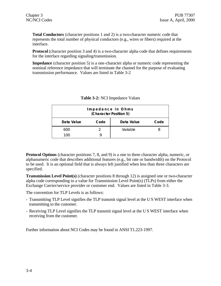**Total Conductors** (character positions 1 and 2) is a two-character numeric code that represents the total number of physical conductors (e.g., wires or fibers) required at the interface.

**Protocol** (character position 3 and 4) is a two-character alpha code that defines requirements for the interface regarding signaling/transmission.

**Impedance** (character position 5) is a one-character alpha or numeric code representing the nominal reference impedance that will terminate the channel for the purpose of evaluating transmission performance. Values are listed in Table 3-2

| Impedance in Ohms<br>(Character Position 5) |      |            |      |  |  |
|---------------------------------------------|------|------------|------|--|--|
| Data Value                                  | Code | Data Value | Code |  |  |
| 600                                         |      | Variable   |      |  |  |
| 100                                         |      |            |      |  |  |

| Table 3-2: NCI Impedance Values |  |  |  |
|---------------------------------|--|--|--|
|---------------------------------|--|--|--|

**Protocol Options** (character positions 7, 8, and 9) is a one to three character alpha, numeric, or alphanumeric code that describes additional features (e.g., bit rate or bandwidth) on the Protocol to be used. It is an optional field that is always left justified when less than three characters are specified.

**Transmission Level Point(s)** (character positions 8 through 12) is assigned one or two-character alpha code corresponding to a value for Transmission Level Point(s) (TLPs) from either the Exchange Carrier/service provider or customer end. Values are listed in Table 3-3.

The convention for TLP Levels is as follows:

- Transmitting TLP Level signifies the TLP transmit signal level at the U S WEST interface when transmitting to the customer.
- Receiving TLP Level signifies the TLP transmit signal level at the U S WEST interface when receiving from the customer.

Further information about NCI Codes may be found in ANSI T1.223-1997.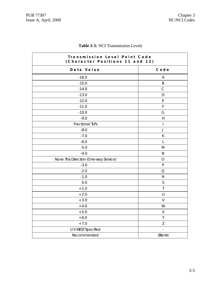| Transmission Level Point Code<br>(Character Positions 11 and 12) |                                       |  |
|------------------------------------------------------------------|---------------------------------------|--|
| Data Value                                                       | Code                                  |  |
| $-16.0$                                                          | Α                                     |  |
| $-15.0$                                                          | B                                     |  |
| $-14.0$                                                          | $\mathsf{C}$                          |  |
| $-13.0$                                                          | D                                     |  |
| $-12.0$                                                          | E                                     |  |
| $-11.0$                                                          | $\mathsf F$                           |  |
| $-10.0$                                                          | G                                     |  |
| $-9.0$                                                           | $\boldsymbol{\mathsf{H}}$             |  |
| <b>Fractional TLPs</b>                                           | $\begin{array}{c} \hline \end{array}$ |  |
| $-8.0$                                                           | J                                     |  |
| $-7.0$                                                           | К                                     |  |
| $-6.0$                                                           | $\mathsf{L}$                          |  |
| $-5.0$                                                           | M                                     |  |
| $-4.0$                                                           | ${\sf N}$                             |  |
| None This Direction (One-way Service)                            | $\bigcirc$                            |  |
| $-3.0$                                                           | ${\sf P}$                             |  |
| $-2.0$                                                           | Q                                     |  |
| $-1.0$                                                           | ${\sf R}$                             |  |
| 0.0                                                              | $\mathsf S$                           |  |
| $+1.0$                                                           | $\mathsf T$                           |  |
| $+2.0$                                                           | $\sf U$                               |  |
| $+3.0$                                                           | V                                     |  |
| $+4.0$                                                           | W                                     |  |
| $+5.0$                                                           | Χ                                     |  |
| $+6.0$                                                           | Υ                                     |  |
| $+7.0$                                                           | Z                                     |  |
| U S WEST Specified                                               |                                       |  |
| Recommended                                                      | (Blank)                               |  |

## **Table 3-3:** NCI Transmission Levels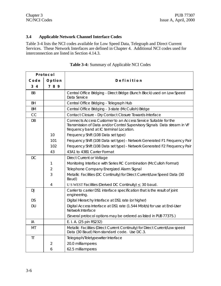## **3.4 Applicable Network Channel Interface Codes**

Table 3-4 lists the NCI codes available for Low Speed Data, Telegraph and Direct Current Services. These Network Interfaces are defined in Chapter 4. Additional NCI codes used for interconnection are listed in Section 4.14.3.

| Protocol  |                |                                                                                                                                                                                        |  |  |  |
|-----------|----------------|----------------------------------------------------------------------------------------------------------------------------------------------------------------------------------------|--|--|--|
| Code      | Option         | Definition                                                                                                                                                                             |  |  |  |
| 34        | 789            |                                                                                                                                                                                        |  |  |  |
| <b>BB</b> |                | Central Office Bridging - Direct Bridge (Bunch Block) used on Low Speed<br>Data Service                                                                                                |  |  |  |
| <b>BH</b> |                | Central Office Bridging - Telegraph Hub                                                                                                                                                |  |  |  |
| <b>BM</b> |                | Central Office Bridging - 3-state (McCulloh) Bridge                                                                                                                                    |  |  |  |
| CC        |                | Contact Closure - Dry Contact Closure Towards Interface                                                                                                                                |  |  |  |
| DB        |                | Connects Access Customer to an Access Service Suitable for the<br>Transmission of Data and/or Control Supervisory Signals Data stream in VF<br>frequency band at IC terminal Location. |  |  |  |
|           | 10             | Frequency Shift (108 Data set type)                                                                                                                                                    |  |  |  |
|           | 101            | Frequency Shift (108 Data set type) - Network Generated F1 Frequency Pair                                                                                                              |  |  |  |
|           | 102            | Frequency Shift (108 Data set type) - Network Generated F2 Frequency Pair                                                                                                              |  |  |  |
|           | 43             | 43A1 to 43B1 Carrier Format                                                                                                                                                            |  |  |  |
| DC        |                | Direct Current or Voltage                                                                                                                                                              |  |  |  |
|           | 1              | Monitoring Interface with Series RC Combination (McCulloh Format)                                                                                                                      |  |  |  |
|           | $\overline{2}$ | Telephone Company Energized Alarm Signal                                                                                                                                               |  |  |  |
|           | 3              | Metallic Facilities (DC Continuity) for Direct Current/Low Speed Data (30<br>Baud)                                                                                                     |  |  |  |
|           | 4              | U S WEST Facilities (Derived DC Continuity) $\leq$ 30 baud.                                                                                                                            |  |  |  |
| <b>DJ</b> |                | Carrier to carrier DS1 interface specification that is the result of joint<br>engineering.                                                                                             |  |  |  |
| <b>DS</b> |                | Digital Hierarchy Interface at DS1 rate (or higher)                                                                                                                                    |  |  |  |
| <b>DU</b> |                | Digital Access Interface at DS1 rate (1.544 Mbit/s) for use at End-User<br>Network Interface                                                                                           |  |  |  |
|           |                | (Several protocol options may be ordered as listed in PUB 77375.)                                                                                                                      |  |  |  |
| IA        |                | E. I. A. (25 pin RS232)                                                                                                                                                                |  |  |  |
| MT        |                | Metallic Facilities (Direct Current Continuity) for Direct Current/Low speed<br>Data (30 Baud) Non-standard code. Use DC.3.                                                            |  |  |  |
| $\Pi$     |                | Telegraph/Teletypewriter Interface                                                                                                                                                     |  |  |  |
|           | $\overline{2}$ | 20.0 milliamperes                                                                                                                                                                      |  |  |  |
|           | 6              | 62.5 milliamperes                                                                                                                                                                      |  |  |  |

| Table 3-4: Summary of Applicable NCI Codes |
|--------------------------------------------|
|                                            |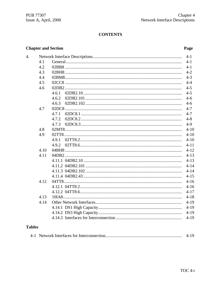# **CONTENTS**

### **Chapter and Section**

### Page

| $\overline{4}$ . |      |       | $4-1$    |
|------------------|------|-------|----------|
|                  | 4.1  |       | $4 - 1$  |
|                  | 4.2  |       | $4 - 1$  |
|                  | 4.3  |       | $4 - 2$  |
|                  | 4.4  |       | $4 - 3$  |
|                  | 4.5  |       | $4 - 4$  |
|                  | 4.6  |       | $4 - 5$  |
|                  |      |       | $4 - 5$  |
|                  |      | 4.6.2 | $4-6$    |
|                  |      | 4.6.3 | $4 - 6$  |
|                  | 4.7  |       | $4 - 7$  |
|                  |      |       | $4 - 7$  |
|                  |      | 4.7.2 | $4 - 8$  |
|                  |      | 4.7.3 | $4-9$    |
|                  | 4.8  |       | $4 - 10$ |
|                  | 4.9  |       | $4 - 10$ |
|                  |      | 4.9.1 | $4 - 10$ |
|                  |      | 4.9.2 | $4 - 11$ |
|                  | 4.10 |       | $4 - 12$ |
|                  | 4.11 |       | $4 - 13$ |
|                  |      |       | $4 - 13$ |
|                  |      |       | $4 - 14$ |
|                  |      |       | $4 - 14$ |
|                  |      |       | $4 - 15$ |
|                  | 4.12 |       | $4 - 16$ |
|                  |      |       | $4 - 16$ |
|                  |      |       | $4 - 17$ |
|                  | 4.13 |       | $4 - 18$ |
|                  | 4.14 |       | $4 - 19$ |
|                  |      |       | $4 - 19$ |
|                  |      |       | $4 - 19$ |
|                  |      |       | $4 - 19$ |
| <b>Tables</b>    |      |       |          |

# **Tables**

|  |  | $4-19$ |  |
|--|--|--------|--|
|--|--|--------|--|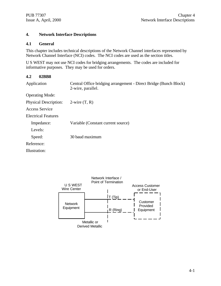#### **4. Network Interface Descriptions**

#### **4.1 General**

This chapter includes technical descriptions of the Network Channel interfaces represented by Network Channel Interface (NCI) codes. The NCI codes are used as the section titles.

U S WEST may not use NCI codes for bridging arrangements. The codes are included for informative purposes. They may be used for orders.

#### **4.2 02BB8**

| Application                  | Central Office bridging arrangement - Direct Bridge (Bunch Block)<br>2-wire, parallel. |
|------------------------------|----------------------------------------------------------------------------------------|
| <b>Operating Mode:</b>       |                                                                                        |
| <b>Physical Description:</b> | $2$ -wire $(T, R)$                                                                     |
| Access Service               |                                                                                        |
| Electrical Features          |                                                                                        |
| Impedance:                   | Variable (Constant current source)                                                     |
| Levels:                      |                                                                                        |
| Speed:                       | 30 baud maximum                                                                        |
| Reference:                   |                                                                                        |
| Illustration:                |                                                                                        |
|                              |                                                                                        |

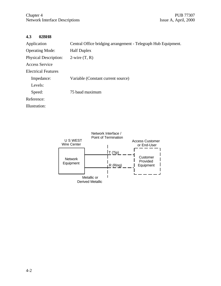### **4.3 02BH8**

| Application                  | Central Office bridging arrangement - Telegraph Hub Equipment. |
|------------------------------|----------------------------------------------------------------|
| <b>Operating Mode:</b>       | <b>Half Duplex</b>                                             |
| <b>Physical Description:</b> | $2$ -wire $(T, R)$                                             |
| Access Service               |                                                                |
| Electrical Features          |                                                                |
| Impedance:                   | Variable (Constant current source)                             |
| Levels:                      |                                                                |
| Speed:                       | 75 baud maximum                                                |
| Reference:                   |                                                                |
| Illustration:                |                                                                |

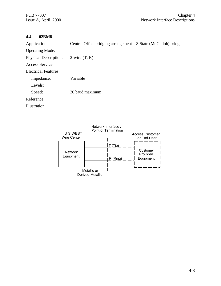### **4.4 02BM8**

| Central Office bridging arrangement $-3$ -State (McCulloh) bridge |
|-------------------------------------------------------------------|
|                                                                   |
| $2$ -wire $(T, R)$                                                |
|                                                                   |
|                                                                   |
| Variable                                                          |
|                                                                   |
| 30 baud maximum                                                   |
|                                                                   |
|                                                                   |
|                                                                   |

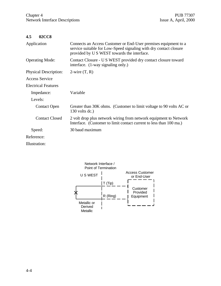$\bar{z}$ 

### **4.5 02CC8**

| Application                  | Connects an Access Customer or End-User premises equipment to a<br>service suitable for Low-Speed signaling with dry contact closure<br>provided by U S WEST towards the interface. |
|------------------------------|-------------------------------------------------------------------------------------------------------------------------------------------------------------------------------------|
| <b>Operating Mode:</b>       | Contact Closure - U S WEST provided dry contact closure toward<br>interface. (1-way signaling only.)                                                                                |
| <b>Physical Description:</b> | $2$ -wire $(T, R)$                                                                                                                                                                  |
| Access Service               |                                                                                                                                                                                     |
| <b>Electrical Features</b>   |                                                                                                                                                                                     |
| Impedance:                   | Variable                                                                                                                                                                            |
| Levels:                      |                                                                                                                                                                                     |
| <b>Contact Open</b>          | Greater than 30K ohms. (Customer to limit voltage to 90 volts AC or<br>$130$ volts dc.)                                                                                             |
| <b>Contact Closed</b>        | 2 volt drop plus network wiring from network equipment to Network<br>Interface. (Customer to limit contact current to less than 100 ma.)                                            |
| Speed:                       | 30 baud maximum                                                                                                                                                                     |
| Reference:                   |                                                                                                                                                                                     |
| Illustration:                |                                                                                                                                                                                     |

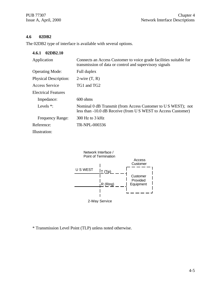### **4.6 02DB2**

The 02DB2 type of interface is available with several options.

| 02DB2.10<br>4.6.1            |                                                                                                                                |
|------------------------------|--------------------------------------------------------------------------------------------------------------------------------|
| Application                  | Connects an Access Customer to voice grade facilities suitable for<br>transmission of data or control and supervisory signals  |
| <b>Operating Mode:</b>       | Full duplex                                                                                                                    |
| <b>Physical Description:</b> | $2$ -wire $(T, R)$                                                                                                             |
| Access Service               | TG1 and TG2                                                                                                                    |
| Electrical Features          |                                                                                                                                |
| Impedance:                   | $600 \text{ ohms}$                                                                                                             |
| Levels $*$ :                 | Nominal 0 dB Transmit (from Access Customer to U S WEST); not<br>less than -10.0 dB Receive (from U S WEST to Access Customer) |
| <b>Frequency Range:</b>      | $300$ Hz to 3 kHz                                                                                                              |
| Reference:                   | TR-NPL-000336                                                                                                                  |
| Illustration:                |                                                                                                                                |



\* Transmission Level Point (TLP) unless noted otherwise.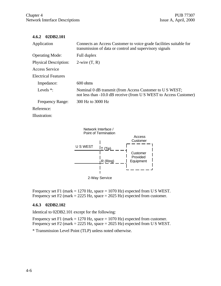#### **4.6.2 02DB2.101**

| Application                  | Connects an Access Customer to voice grade facilities suitable for<br>transmission of data or control and supervisory signals |
|------------------------------|-------------------------------------------------------------------------------------------------------------------------------|
| <b>Operating Mode:</b>       | Full duplex                                                                                                                   |
| <b>Physical Description:</b> | $2$ -wire $(T, R)$                                                                                                            |
| Access Service               |                                                                                                                               |
| <b>Electrical Features</b>   |                                                                                                                               |
| Impedance:                   | $600 \text{ ohms}$                                                                                                            |
| Levels $*$ :                 | Nominal 0 dB transmit (from Access Customer to U S WEST;<br>not less than -10.0 dB receive (from U S WEST to Access Customer) |
| <b>Frequency Range:</b>      | 300 Hz to 3000 Hz                                                                                                             |
| Reference:                   |                                                                                                                               |

Illustration:



Frequency set F1 (mark  $= 1270$  Hz, space  $= 1070$  Hz) expected from U S WEST. Frequency set F2 (mark  $= 2225$  Hz, space  $= 2025$  Hz) expected from customer.

#### **4.6.3 02DB2.102**

Identical to 02DB2.101 except for the following:

Frequency set F1 (mark  $= 1270$  Hz, space  $= 1070$  Hz) expected from customer. Frequency set F2 (mark = 2225 Hz, space = 2025 Hz) expected from U S WEST.

\* Transmission Level Point (TLP) unless noted otherwise.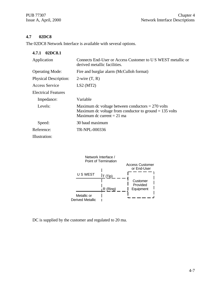### **4.7 02DC8**

The 02DC8 Network Interface is available with several options.

| 4.7.1 02DC8.1                |                                                                                                                                                  |
|------------------------------|--------------------------------------------------------------------------------------------------------------------------------------------------|
| Application                  | Connects End-User or Access Customer to U S WEST metallic or<br>derived metallic facilities.                                                     |
| <b>Operating Mode:</b>       | Fire and burglar alarm (McCulloh format)                                                                                                         |
| <b>Physical Description:</b> | 2-wire $(T, R)$                                                                                                                                  |
| Access Service               | LS2(MT2)                                                                                                                                         |
| Electrical Features          |                                                                                                                                                  |
| Impedance:                   | Variable                                                                                                                                         |
| Levels:                      | Maximum dc voltage between conductors $= 270$ volts<br>Maximum dc voltage from conductor to ground $= 135$ volts<br>Maximum dc current $= 21$ ma |
| Speed:                       | 30 baud maximum                                                                                                                                  |
| Reference:                   | TR-NPL-000336                                                                                                                                    |
| Illustration:                |                                                                                                                                                  |



DC is supplied by the customer and regulated to 20 ma.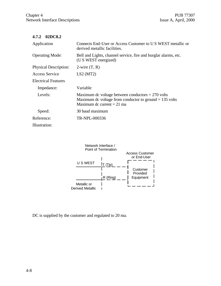### **4.7.2 02DC8.2**

| Application                  | Connects End-User or Access Customer to U S WEST metallic or<br>derived metallic facilities.                                                     |
|------------------------------|--------------------------------------------------------------------------------------------------------------------------------------------------|
| <b>Operating Mode:</b>       | Bell and Lights, channel service, fire and burglar alarms, etc.<br>(U S WEST energized)                                                          |
| <b>Physical Description:</b> | $2$ -wire $(T, R)$                                                                                                                               |
| <b>Access Service</b>        | LS2(MT2)                                                                                                                                         |
| <b>Electrical Features</b>   |                                                                                                                                                  |
| Impedance:                   | Variable                                                                                                                                         |
| Levels:                      | Maximum dc voltage between conductors $= 270$ volts<br>Maximum dc voltage from conductor to ground $= 135$ volts<br>Maximum dc current $= 21$ ma |
| Speed:                       | 30 baud maximum                                                                                                                                  |
| Reference:                   | TR-NPL-000336                                                                                                                                    |
| Illustration:                |                                                                                                                                                  |



DC is supplied by the customer and regulated to 20 ma.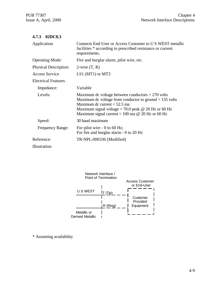| Application                  | Connects End-User or Access Customer to U.S. WEST metallic<br>facilities * according to prescribed resistance or current<br>requirements.                                                                                                                              |
|------------------------------|------------------------------------------------------------------------------------------------------------------------------------------------------------------------------------------------------------------------------------------------------------------------|
| <b>Operating Mode:</b>       | Fire and burglar alarm, pilot wire, etc.                                                                                                                                                                                                                               |
| <b>Physical Description:</b> | $2$ -wire $(T, R)$                                                                                                                                                                                                                                                     |
| <b>Access Service</b>        | LS1 (MT1) or MT3                                                                                                                                                                                                                                                       |
| <b>Electrical Features</b>   |                                                                                                                                                                                                                                                                        |
| Impedance:                   | Variable                                                                                                                                                                                                                                                               |
| Levels:                      | Maximum dc voltage between conductors $= 270$ volts<br>Maximum dc voltage from conductor to ground $= 135$ volts<br>Maximum dc current $= 52.5$ ma<br>Maximum signal voltage = 70.0 peak $\omega$ 20 Hz or 60 Hz<br>Maximum signal current = 100 ma $@$ 20 Hz or 60 Hz |
| Speed:                       | 30 baud maximum                                                                                                                                                                                                                                                        |
| Frequency Range:             | For pilot wire $-0$ to 60 Hz;<br>For fire and burglar alarm - 0 to 20 Hz                                                                                                                                                                                               |
| Reference:                   | TR-NPL-000336 (Modified)                                                                                                                                                                                                                                               |
| Hluotrotion                  |                                                                                                                                                                                                                                                                        |

Illustration:



\* Assuming availability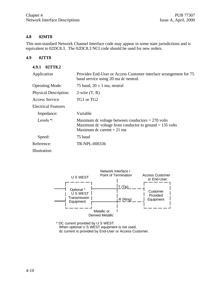#### **4.8 02MT8**

This non-standard Network Channel Interface code may appear in some state jurisdictions and is equivalent to 02DC8.3. The 02DC8.3 NCI code should be used for new orders.

#### **4.9 02TT8**

#### **4.9.1 02TT8.2**

| Application                  | Provides End-User or Access Customer interface arrangement for 75<br>baud service using 20 ma dc neutral.                                        |  |  |  |
|------------------------------|--------------------------------------------------------------------------------------------------------------------------------------------------|--|--|--|
| <b>Operating Mode:</b>       | 75 baud, $20 \pm 1$ ma, neutral                                                                                                                  |  |  |  |
| <b>Physical Description:</b> | $2$ -wire $(T, R)$                                                                                                                               |  |  |  |
| Access Service               | TG1 or TG2                                                                                                                                       |  |  |  |
| <b>Electrical Features</b>   |                                                                                                                                                  |  |  |  |
| Impedance:                   | Variable                                                                                                                                         |  |  |  |
| Levels $*$ :                 | Maximum dc voltage between conductors $= 270$ volts<br>Maximum dc voltage from conductor to ground $= 135$ volts<br>Maximum dc current $= 21$ ma |  |  |  |
| Speed:                       | 75 baud                                                                                                                                          |  |  |  |
| Reference:                   | TR-NPL-000336                                                                                                                                    |  |  |  |
| Illustration:                |                                                                                                                                                  |  |  |  |



\* DC current provided by U S WEST. When optional U S WEST equipment is not used, dc current is provided by End-User or Access Customer.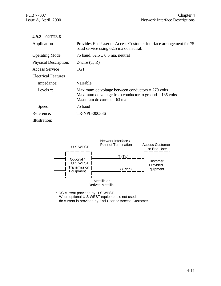#### **4.9.2 02TT8.6**

| Application                  | Provides End-User or Access Customer interface arrangement for 75<br>baud service using 62.5 ma dc neutral.                                      |  |  |
|------------------------------|--------------------------------------------------------------------------------------------------------------------------------------------------|--|--|
| <b>Operating Mode:</b>       | 75 baud, $62.5 \pm 0.5$ ma, neutral                                                                                                              |  |  |
| <b>Physical Description:</b> | $2$ -wire $(T, R)$                                                                                                                               |  |  |
| Access Service               | TG1                                                                                                                                              |  |  |
| <b>Electrical Features</b>   |                                                                                                                                                  |  |  |
| Impedance:                   | Variable                                                                                                                                         |  |  |
| Levels $*$ :                 | Maximum dc voltage between conductors $= 270$ volts<br>Maximum dc voltage from conductor to ground $= 135$ volts<br>Maximum dc current $= 63$ ma |  |  |
| Speed:                       | 75 baud                                                                                                                                          |  |  |
| Reference:                   | TR-NPL-000336                                                                                                                                    |  |  |
| Illustration:                |                                                                                                                                                  |  |  |



\* DC current provided by U S WEST. When optional U S WEST equipment is not used, dc current is provided by End-User or Access Customer.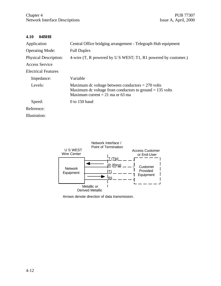#### **4.10 04BH8**

| Application                  | Central Office bridging arrangement - Telegraph Hub equipment                                                                                         |  |  |
|------------------------------|-------------------------------------------------------------------------------------------------------------------------------------------------------|--|--|
| <b>Operating Mode:</b>       | <b>Full Duplex</b>                                                                                                                                    |  |  |
| <b>Physical Description:</b> | 4-wire (T, R powered by U S WEST; T1, R1 powered by customer.)                                                                                        |  |  |
| <b>Access Service</b>        |                                                                                                                                                       |  |  |
| Electrical Features          |                                                                                                                                                       |  |  |
| Impedance:                   | Variable                                                                                                                                              |  |  |
| Levels:                      | Maximum dc voltage between conductors $= 270$ volts<br>Maximum dc voltage from conductors to ground $= 135$ volts<br>Maximum current = 21 ma or 63 ma |  |  |
| Speed:                       | 0 to 150 baud                                                                                                                                         |  |  |
| Reference:                   |                                                                                                                                                       |  |  |
| Illustration:                |                                                                                                                                                       |  |  |



Arrows denote direction of data transmission.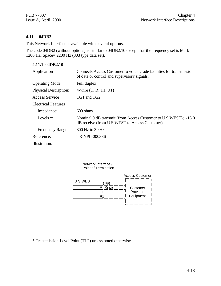#### **4.11 04DB2**

This Network Interface is available with several options.

The code 04DB2 (without options) is similar to 04DB2.10 except that the frequency set is Mark= 1200 Hz, Space= 2200 Hz (303 type data set).

### **4.11.1 04DB2.10**

| Application                  | Connects Access Customer to voice grade facilities for transmission<br>of data or control and supervisory signals. |  |
|------------------------------|--------------------------------------------------------------------------------------------------------------------|--|
| <b>Operating Mode:</b>       | Full duplex                                                                                                        |  |
| <b>Physical Description:</b> | 4-wire $(T, R, T1, R1)$                                                                                            |  |
| Access Service               | TG1 and TG2                                                                                                        |  |
| Electrical Features          |                                                                                                                    |  |
| Impedance:                   | $600 \text{ ohms}$                                                                                                 |  |
| Levels $*$ :                 | Nominal 0 dB transmit (from Access Customer to US WEST); -16.0<br>dB receive (from U S WEST to Access Customer)    |  |
| <b>Frequency Range:</b>      | $300$ Hz to $3$ kHz                                                                                                |  |
| Reference:                   | TR-NPL-000336                                                                                                      |  |
| Illustration:                |                                                                                                                    |  |



\* Transmission Level Point (TLP) unless noted otherwise.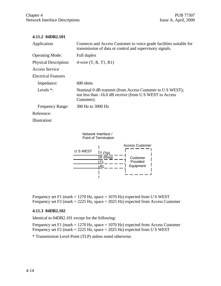#### **4.11.2 04DB2.101**

| Application                  | Connects and Access Customer to voice grade facilities suitable for<br>transmission of data or control and supervisory signals.  |  |  |
|------------------------------|----------------------------------------------------------------------------------------------------------------------------------|--|--|
| <b>Operating Mode:</b>       | Full duplex                                                                                                                      |  |  |
| <b>Physical Description:</b> | 4-wire $(T, R, T1, R1)$                                                                                                          |  |  |
| <b>Access Service</b>        |                                                                                                                                  |  |  |
| Electrical Features          |                                                                                                                                  |  |  |
| Impedance:                   | $600 \text{ ohms}$                                                                                                               |  |  |
| Levels $*$ :                 | Nominal 0 dB transmit (from Access Customer to US WEST);<br>not less than -16.0 dB receive (from US WEST to Access<br>Customer). |  |  |
| <b>Frequency Range:</b>      | 300 Hz to 3000 Hz                                                                                                                |  |  |
| Reference:                   |                                                                                                                                  |  |  |
| Illustration:                |                                                                                                                                  |  |  |

Network Interface / Point of Termination



Frequency set F1 (mark = 1270 Hz, space = 1070 Hz) expected from U S WEST Frequency set F2 (mark = 2225 Hz, space = 2025 Hz) expected from Access Customer

#### **4.11.3 04DB2.102**

Identical to 04DB2.101 except for the following:

Frequency set F1 (mark = 1270 Hz, space = 1070 Hz) expected from Access Customer Frequency set F2 (mark = 2225 Hz, space = 2025 Hz) expected from U S WEST

\* Transmission Level Point (TLP) unless noted otherwise.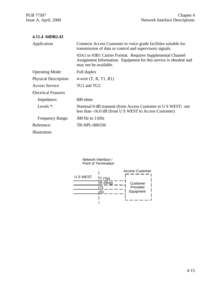| 4.11.4 04DB2.43              |                                                                                                                                                           |  |
|------------------------------|-----------------------------------------------------------------------------------------------------------------------------------------------------------|--|
| Application                  | Connects Access Customer to voice grade facilities suitable for<br>transmission of data or control and supervisory signals.                               |  |
|                              | 43A1 to 43B1 Carrier Format. Requires Supplemental Channel<br>Assignment Information. Equipment for this service is obsolete and<br>may not be available. |  |
| <b>Operating Mode:</b>       | Full duplex                                                                                                                                               |  |
| <b>Physical Description:</b> | 4-wire $(T, R, T1, R1)$                                                                                                                                   |  |
| <b>Access Service</b>        | TG1 and TG2                                                                                                                                               |  |
| <b>Electrical Features</b>   |                                                                                                                                                           |  |
| Impedance:                   | $600 \text{ ohms}$                                                                                                                                        |  |
| Levels $*$ :                 | Nominal 0 dB transmit (from Access Customer to US WEST; not<br>less than -16.0 dB (from U S WEST to Access Customer)                                      |  |
| <b>Frequency Range:</b>      | 300 Hz to 3 kHz                                                                                                                                           |  |
| Reference:                   | TR-NPL-000336                                                                                                                                             |  |
| Illustration:                |                                                                                                                                                           |  |

Network Interface / Point of Termination

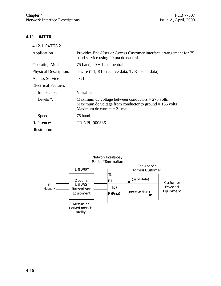### **4.12 04TT8**

#### **4.12.1 04TT8.2**

| Application                  | Provides End-User or Access Customer interface arrangement for 75<br>baud service using 20 ma dc neutral.                                        |  |  |  |
|------------------------------|--------------------------------------------------------------------------------------------------------------------------------------------------|--|--|--|
| <b>Operating Mode:</b>       | 75 baud, $20 \pm 1$ ma, neutral                                                                                                                  |  |  |  |
| <b>Physical Description:</b> | 4-wire $(T1, R1$ - receive data; T, R - send data)                                                                                               |  |  |  |
| Access Service               | TG1                                                                                                                                              |  |  |  |
| <b>Electrical Features</b>   |                                                                                                                                                  |  |  |  |
| Impedance:                   | Variable                                                                                                                                         |  |  |  |
| Levels $*$ :                 | Maximum dc voltage between conductors $= 270$ volts<br>Maximum dc voltage from conductor to ground $= 135$ volts<br>Maximum dc current $= 21$ ma |  |  |  |
| Speed:                       | 75 baud                                                                                                                                          |  |  |  |
| Reference:                   | TR-NPL-000336                                                                                                                                    |  |  |  |
| Illustration:                |                                                                                                                                                  |  |  |  |

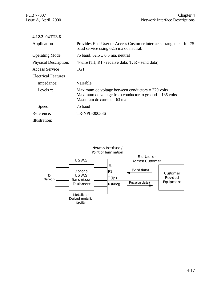### **4.12.2 04TT8.6**

| Application                  | Provides End-User or Access Customer interface arrangement for 75<br>baud service using 62.5 ma dc neutral.                                      |  |  |
|------------------------------|--------------------------------------------------------------------------------------------------------------------------------------------------|--|--|
| <b>Operating Mode:</b>       | 75 baud, $62.5 \pm 0.5$ ma, neutral                                                                                                              |  |  |
| <b>Physical Description:</b> | 4-wire $(T1, R1$ - receive data; T, R - send data)                                                                                               |  |  |
| Access Service               | TG1                                                                                                                                              |  |  |
| <b>Electrical Features</b>   |                                                                                                                                                  |  |  |
| Impedance:                   | Variable                                                                                                                                         |  |  |
| Levels $*$ :                 | Maximum dc voltage between conductors $= 270$ volts<br>Maximum dc voltage from conductor to ground $= 135$ volts<br>Maximum dc current $= 63$ ma |  |  |
| Speed:                       | 75 baud                                                                                                                                          |  |  |
| Reference:                   | TR-NPL-000336                                                                                                                                    |  |  |
| Illustration:                |                                                                                                                                                  |  |  |

#### Network Interface / Point of Termination

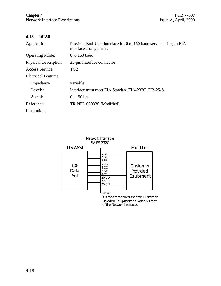### **4.13 10IA8**

| Application                  | Provides End-User interface for 0 to 150 baud service using an EIA<br>interface arrangement. |  |  |
|------------------------------|----------------------------------------------------------------------------------------------|--|--|
| <b>Operating Mode:</b>       | $0$ to 150 baud                                                                              |  |  |
| <b>Physical Description:</b> | 25-pin interface connector                                                                   |  |  |
| <b>Access Service</b>        | TG <sub>2</sub>                                                                              |  |  |
| <b>Electrical Features</b>   |                                                                                              |  |  |
| Impedance:                   | variable                                                                                     |  |  |
| Levels:                      | Interface must meet EIA Standard EIA-232C, DB-25-S.                                          |  |  |
| Speed:                       | 0 - 150 baud                                                                                 |  |  |
| Reference:                   | TR-NPL-000336 (Modified)                                                                     |  |  |
| Illustration:                |                                                                                              |  |  |



It is recommended that the Customer Provided Equipment be within 50 feet of the Network Interface.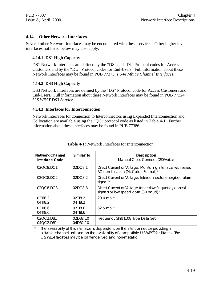#### **4.14 Other Network Interfaces**

Several other Network Interfaces may be encountered with these services. Other higher level interfaces not listed below may also apply.

#### **4.14.1 DS1 High Capacity**

DS1 Network Interfaces are defined by the "DS" and "DJ" Protocol codes for Access Customers and by the "DU" Protocol codes for End-Users. Full information about these Network Interfaces may be found in PUB 77375, *1.544 Mbit/s Channel Interfaces.*

#### **4.14.2 DS3 High Capacity**

DS3 Network Interfaces are defined by the "DS" Protocol code for Access Customers and End-Users. Full information about these Network Interfaces may be found in PUB 77324, *U S WEST DS3 Service.*

#### **4.14.3 Interfaces for Interconnection**

Network Interfaces for connection to Interconnectors using Expanded Interconnection and Collocation are available using the "QC" protocol code as listed in Table 4-1. Further information about these interfaces may be found in PUB 77386.

| <b>Network Channel</b><br>Interface Code | Similar To           | <b>Description</b><br>Manual Cross-Connect DS0/Voice                                              |
|------------------------------------------|----------------------|---------------------------------------------------------------------------------------------------|
| 020C8.DC1                                | 02DC8.1              | Direct Current or Voltage, Monitoring interface with series<br>RC combination (McCulloh Format) * |
| 020C8.DC2                                | 02DC8.2              | Direct Current or Voltage, Interconnector energized alarm<br>signal *                             |
| 020C8.DC3                                | 02DC8.3              | Direct Current or Voltage for dc/low frequency control<br>signals or low speed data (30 baud) *   |
| 02TT8.2<br>04TT8.2                       | 02JT8.2<br>04TT8.2   | 20.0 ma $*$                                                                                       |
| 02TT8.6<br>04TT8.6                       | 02JT8.6<br>04TT8.6   | 62.5 ma $*$                                                                                       |
| 02QC2.DB1<br>04OC2.DB1                   | 02DB2.10<br>04DB2.10 | Frequency Shift (108 Type Data Set)                                                               |

| <b>Table 4-1:</b> Network Interfaces for Interconnection |  |
|----------------------------------------------------------|--|
|----------------------------------------------------------|--|

\* The availability of this interface is dependent on the Interconnector providing a suitable channel unit and on the availability of compatible U S WEST facilitates. The U S WEST facilities may be carrier derived and non-metallic.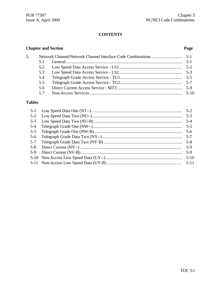## **CONTENTS**

### **Chapter and Section**

### Page

| 5. |     |          |
|----|-----|----------|
|    | 51  |          |
|    | 5.2 |          |
|    | 5.3 |          |
|    | 5.4 |          |
|    | 5.5 |          |
|    | 5.6 | $5-9$    |
|    | 57  | $5 - 10$ |

# **Tables**

|         | $5-3$   |
|---------|---------|
|         | $5 - 4$ |
| $5-4$   | $5-5$   |
| $5 - 5$ | $5-6$   |
| $5-6$   |         |
| $5 - 7$ |         |
| $5 - 8$ | $5-9$   |
| $5-9$   | $5-9$   |
|         |         |
|         |         |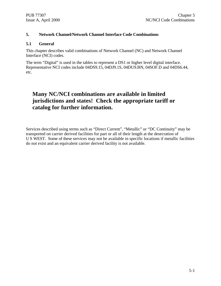#### **5. Network Channel/Network Channel Interface Code Combinations**

#### **5.1 General**

This chapter describes valid combinations of Network Channel (NC) and Network Channel Interface (NCI) codes.

The term "Digital" is used in the tables to represent a DS1 or higher level digital interface. Representative NCI codes include 04DS9.15, 04DJ9.1S, 04DU9.BN, 04SOF.D and 04DS6.44, etc.

# **Many NC/NCI combinations are available in limited jurisdictions and states! Check the appropriate tariff or catalog for further information.**

Services described using terms such as "Direct Current", "Metallic" or "DC Continuity" may be transported on carrier derived facilities for part or all of their length at the desecration of U S WEST. Some of these services may not be available in specific locations if metallic facilities do not exist and an equivalent carrier derived facility is not available.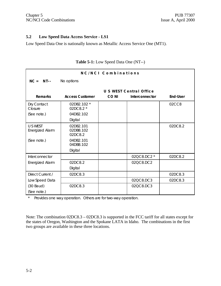#### **5.2 Low Speed Data Access Service - LS1**

Low Speed Data One is nationally known as Metallic Access Service One (MT1).

| NC/NCI Combinations                |                                   |             |                         |                 |  |
|------------------------------------|-----------------------------------|-------------|-------------------------|-----------------|--|
| $NC = NT--$                        | No options                        |             |                         |                 |  |
|                                    |                                   |             | U S WEST Central Office |                 |  |
| <b>Remarks</b>                     | <b>Access Customer</b>            | <b>CONI</b> | Interconnector          | <b>End-User</b> |  |
| Dry Contact<br>Closure             | 02DB2.102 *<br>02DC8.2 *          |             |                         | 02CC8           |  |
| (See note.)                        | 04DB2.102                         |             |                         |                 |  |
|                                    | Digital                           |             |                         |                 |  |
| <b>U S WEST</b><br>Energized Alarm | 02DB2.101<br>02DB8.102<br>02DC8.2 |             |                         | 02DC8.2         |  |
| (See note.)                        | 04DB2.101<br>04DB8.102            |             |                         |                 |  |
|                                    | Digital                           |             |                         |                 |  |
| Interconnector                     |                                   |             | 02QC8.DC2 *             | 02DC8.2         |  |
| <b>Energized Alarm</b>             | 02DC8.2                           |             | 02QC8.DC2               |                 |  |
|                                    | Digital                           |             |                         |                 |  |
| Direct Current /                   | 02DC8.3                           |             |                         | 02DC8.3         |  |
| Low Speed Data                     |                                   |             | 02QC8.DC3               | 02DC8.3         |  |
| $(30$ Baud)<br>(See note.)         | 02DC8.3                           |             | 02QC8.DC3               |                 |  |

### **Table 5-1:** Low Speed Data One (NT--)

\* Provides one way operation. Others are for two-way operation.

Note: The combination 02DC8.3 – 02DC8.3 is supported in the FCC tariff for all states except for the states of Oregon, Washington and the Spokane LATA in Idaho. The combinations in the first two groups are available in these three locations.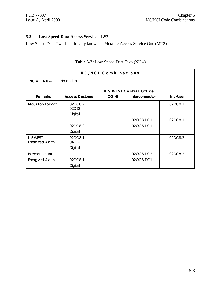### **5.3 Low Speed Data Access Service - LS2**

Low Speed Data Two is nationally known as Metallic Access Service One (MT2).

| NC/NCI Combinations                |                        |       |                                |                 |  |
|------------------------------------|------------------------|-------|--------------------------------|-----------------|--|
| $NC = NU--$                        | No options             |       |                                |                 |  |
|                                    |                        |       | <b>U S WEST Central Office</b> |                 |  |
| <b>Remarks</b>                     | <b>Access Customer</b> | CO NI | <b>Interconnector</b>          | <b>End-User</b> |  |
| McCulloh Format                    | 02DC8.2<br>02DB2       |       |                                | 02DC8.1         |  |
|                                    | Digital                |       |                                |                 |  |
|                                    |                        |       | 02QC8.DC1                      | 02DC8.1         |  |
|                                    | 02DC8.2                |       | 02QC8.DC1                      |                 |  |
|                                    | Digital                |       |                                |                 |  |
| U S WEST<br><b>Energized Alarm</b> | 02DC8.1<br>04DB2       |       |                                | 02DC8.2         |  |
|                                    | Digital                |       |                                |                 |  |
| Interconnector                     |                        |       | 02QC8.DC2                      | 02DC8.2         |  |
| Energized Alarm                    | 02DC8.1                |       | 02QC8.DC1                      |                 |  |
|                                    | Digital                |       |                                |                 |  |

### **Table 5-2:** Low Speed Data Two (NU--)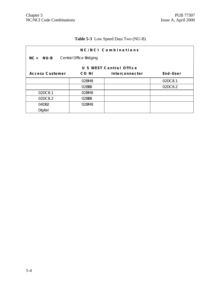# **Table 5-3** Low Speed Data Two (NU-B)

| NC/NCI Combinations     |                         |                |          |  |  |  |  |  |
|-------------------------|-------------------------|----------------|----------|--|--|--|--|--|
| $NC = NU-B$             | Central Office Bridging |                |          |  |  |  |  |  |
| U S WEST Central Office |                         |                |          |  |  |  |  |  |
| <b>Access Customer</b>  | CO NI                   | Interconnector | End-User |  |  |  |  |  |
|                         | 02BM8                   |                | 02DC8.1  |  |  |  |  |  |
|                         | 02BB8                   |                | 02DC8.2  |  |  |  |  |  |
| 02DC8.1                 | 02BM8                   |                |          |  |  |  |  |  |
| 02DC8.2                 | 02BB8                   |                |          |  |  |  |  |  |
| 04DB2                   | 02BM8                   |                |          |  |  |  |  |  |
| Digital                 |                         |                |          |  |  |  |  |  |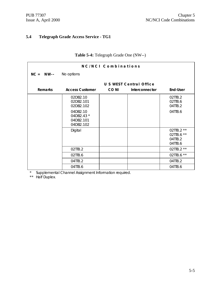### **5.4 Telegraph Grade Access Service - TG1**

| NC/NCI Combinations |                                                  |             |                                |                                                |  |
|---------------------|--------------------------------------------------|-------------|--------------------------------|------------------------------------------------|--|
| $NC = NW -$         | No options                                       |             |                                |                                                |  |
|                     |                                                  |             | <b>U S WEST Central Office</b> |                                                |  |
| <b>Remarks</b>      | <b>Access Customer</b>                           | <b>CONI</b> | Interconnector                 | <b>End-User</b>                                |  |
|                     | 02DB2.10<br>02DB2.101<br>02DB2.102               |             |                                | 02TT8.2<br>02TT8.6<br>04TT8.2                  |  |
|                     | 04DB2.10<br>04DB2.43 *<br>04DB2.101<br>04DB2.102 |             |                                | 04TT8.6                                        |  |
|                     | Digital                                          |             |                                | 02TT8.2 **<br>02TT8.6 **<br>04TT8.2<br>04TT8.6 |  |
|                     | 02TT8.2                                          |             |                                | 02TT8.2 **                                     |  |
|                     | 02TT8.6                                          |             |                                | 02TT8.6 **                                     |  |
|                     | 04TT8.2                                          |             |                                | 04TT8.2                                        |  |
|                     | 04TT8.6                                          |             |                                | 04TT8.6                                        |  |

### **Table 5-4:** Telegraph Grade One (NW--)

\* Supplemental Channel Assignment Information required.

\*\* Half Duplex.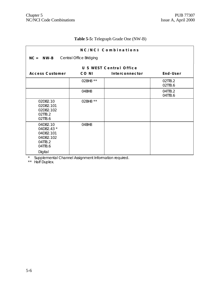# **Table 5-5:** Telegraph Grade One (NW-B)

| NC/NCI Combinations                                                               |                                       |                                |                    |  |  |  |  |  |
|-----------------------------------------------------------------------------------|---------------------------------------|--------------------------------|--------------------|--|--|--|--|--|
|                                                                                   | $NC = NW - B$ Central Office Bridging |                                |                    |  |  |  |  |  |
|                                                                                   |                                       | <b>U S WEST Central Office</b> |                    |  |  |  |  |  |
| <b>Access Customer</b>                                                            | CO NI                                 | Interconnector                 | End-User           |  |  |  |  |  |
|                                                                                   | 02BH8 **                              |                                | 02TT8.2<br>02TT8.6 |  |  |  |  |  |
|                                                                                   | 04BH8                                 |                                | 04TT8.2<br>04TT8.6 |  |  |  |  |  |
| 02DB2.10<br>02DB2.101<br>02DB2.102<br>02TT8.2<br>02TT8.6                          | 02BH8 **                              |                                |                    |  |  |  |  |  |
| 04DB2.10<br>04DB2.43 *<br>04DB2.101<br>04DB2.102<br>04TT8.2<br>04TT8.6<br>Digital | 04BH8                                 |                                |                    |  |  |  |  |  |

\* Supplemental Channel Assignment Information required.

\*\* Half Duplex.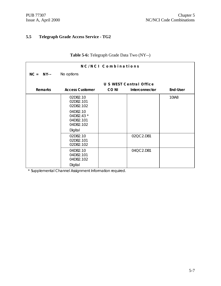# **5.5 Telegraph Grade Access Service - TG2**

| NC/NCI Combinations |                                                  |             |                                |                 |  |
|---------------------|--------------------------------------------------|-------------|--------------------------------|-----------------|--|
| $NC = NY$           | No options                                       |             |                                |                 |  |
|                     |                                                  |             | <b>U S WEST Central Office</b> |                 |  |
| <b>Remarks</b>      | <b>Access Customer</b>                           | <b>CONI</b> | Interconnector                 | <b>End-User</b> |  |
|                     | 02DB2.10<br>02DB2.101<br>02DB2.102               |             |                                | 10IA8           |  |
|                     | 04DB2.10<br>04DB2.43 *<br>04DB2.101<br>04DB2.102 |             |                                |                 |  |
|                     | Digital                                          |             |                                |                 |  |
|                     | 02DB2.10<br>02DB2.101<br>02DB2.102               |             | 02QC2.DB1                      |                 |  |
|                     | 04DB2.10<br>04DB2.101<br>04DB2.102               |             | 04QC2.DB1                      |                 |  |
|                     | Digital                                          |             |                                |                 |  |

### **Table 5-6:** Telegraph Grade Data Two (NY--)

\* Supplemental Channel Assignment Information required.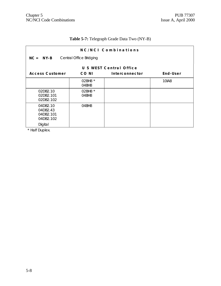# **Table 5-7:** Telegraph Grade Data Two (NY-B)

| NC/NCI Combinations                                       |                         |                         |              |  |  |  |  |  |
|-----------------------------------------------------------|-------------------------|-------------------------|--------------|--|--|--|--|--|
| $NC = NY-B$                                               | Central Office Bridging |                         |              |  |  |  |  |  |
|                                                           |                         | U S WEST Central Office |              |  |  |  |  |  |
| <b>Access Customer</b>                                    | CO NI                   | Interconnector          | End-User     |  |  |  |  |  |
|                                                           | 02BH8 *<br>04BH8        |                         | <b>10IA8</b> |  |  |  |  |  |
| 02DB2.10<br>02DB2.101<br>02DB2.102                        | 02BH8 *<br>04BH8        |                         |              |  |  |  |  |  |
| 04DB2.10<br>04DB2.43<br>04DB2.101<br>04DB2.102<br>Digital | 04BH8                   |                         |              |  |  |  |  |  |

\* Half Duplex.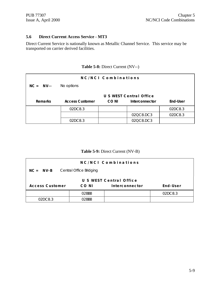#### **5.6 Direct Current Access Service - MT3**

Direct Current Service is nationally known as Metallic Channel Service. This service may be transported on carrier derived facilities.

### **Table 5-8:** Direct Current (NV--)

| NC/NCI Combinations |                         |             |                |          |  |  |
|---------------------|-------------------------|-------------|----------------|----------|--|--|
| $NC = NV--$         | No options              |             |                |          |  |  |
|                     | U S WEST Central Office |             |                |          |  |  |
| <b>Remarks</b>      | <b>Access Customer</b>  | <b>CONI</b> | Interconnector | End-User |  |  |
|                     | 02DC8.3                 |             |                | 02DC8.3  |  |  |
|                     |                         |             | 02QC8.DC3      | 02DC8.3  |  |  |
|                     | 02DC8.3                 |             | 02QC8.DC3      |          |  |  |

### **Table 5-9:** Direct Current (NV-B)

| NC/NCI Combinations                                           |                         |  |  |  |  |  |
|---------------------------------------------------------------|-------------------------|--|--|--|--|--|
| Central Office Bridging<br>$NC = NV-B$                        |                         |  |  |  |  |  |
|                                                               | U S WEST Central Office |  |  |  |  |  |
| End-User<br><b>Access Customer</b><br>Interconnector<br>CO NI |                         |  |  |  |  |  |
| 02DC8.3<br>02BB8                                              |                         |  |  |  |  |  |
| 02DC8.3                                                       | በ2RR8                   |  |  |  |  |  |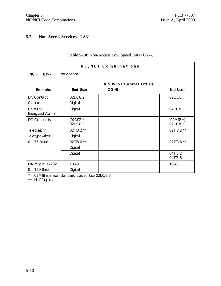### **5.7 Non-Access Services - LS31**

| NC/NCI Combinations                 |                       |                                |                       |  |
|-------------------------------------|-----------------------|--------------------------------|-----------------------|--|
| $NC = UV--$                         | No options            |                                |                       |  |
|                                     |                       | <b>U S WEST Central Office</b> |                       |  |
| <b>Remarks</b>                      | <b>End-User</b>       | <b>CONI</b>                    | <b>End-User</b>       |  |
| Dry Contact<br>Closure              | 02DC8.2<br>Digital    |                                | 02CC8                 |  |
| U S WEST<br>Energized Alarm         | Digital               |                                | 02DC8.2               |  |
| <b>DC Continuity</b>                | $(02MT8*)$<br>02DC8.3 |                                | $(02MT8*)$<br>02DC8.3 |  |
| Telegraph/<br>Teletypewriter        | 02TT8.2 **<br>Digital |                                | 02TT8.2 **            |  |
| $0 - 75$ Baud                       | 02TT8.6 **<br>Digital |                                | 02TT8.6 **            |  |
|                                     | Digital               |                                | 04TT8.2<br>04TT8.6    |  |
| EIA 25 pin RS 232<br>$0 - 150$ Baud | 10IA8<br>Digital      |                                | 10IA8                 |  |

### **Table 5-10:** Non-Access Low Speed Data (UY--)

\* 02MT8 is a non-standard code. Use 02DC8.3

\*\* Half Duplex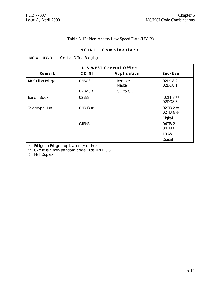### **Table 5-12:** Non-Access Low Speed Data (UY-B)

| NC/NCI Combinations |                         |                         |                          |  |  |  |  |  |  |
|---------------------|-------------------------|-------------------------|--------------------------|--|--|--|--|--|--|
| $NC = UV-B$         | Central Office Bridging |                         |                          |  |  |  |  |  |  |
|                     |                         | U S WEST Central Office |                          |  |  |  |  |  |  |
| Remark              | CO NI                   | Application             | End-User                 |  |  |  |  |  |  |
| McCulloh Bridge     | 02BM8                   | Remote<br>Master        | 02DC8.2<br>02DC8.1       |  |  |  |  |  |  |
|                     | 02BM8 *                 | CO to CO                |                          |  |  |  |  |  |  |
| <b>Bunch Block</b>  | 02BB8                   |                         | $(02MT8$ **)<br>02DC8.3  |  |  |  |  |  |  |
| Telegraph Hub       | O2BH8 $#$               |                         | 02TT8.2 $#$<br>02TT8.6 # |  |  |  |  |  |  |
|                     |                         |                         | Digital                  |  |  |  |  |  |  |
|                     | 04BH8                   |                         | 04TT8.2<br>04TT8.6       |  |  |  |  |  |  |
|                     |                         |                         | 10IA8                    |  |  |  |  |  |  |
|                     |                         |                         | Digital                  |  |  |  |  |  |  |

\* Bridge to Bridge application (Mid Link)

\*\* 02MT8 is a non-standard code. Use 02DC8.3

# Half Duplex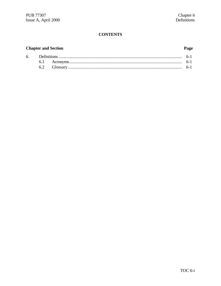# **CONTENTS**

# **Chapter and Section**

### Page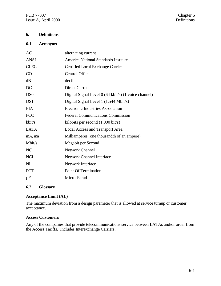PUB 77307 Chapter 6<br>
Issue A, April 2000 Chapter 6 Issue A, April 2000

# **6. Definitions**

# **6.1 Acronyms**

| AC              | alternating current                                  |
|-----------------|------------------------------------------------------|
| <b>ANSI</b>     | America National Standards Institute                 |
| <b>CLEC</b>     | Certified Local Exchange Carrier                     |
| CO              | <b>Central Office</b>                                |
| dB              | decibel                                              |
| DC              | <b>Direct Current</b>                                |
| D <sub>S0</sub> | Digital Signal Level 0 (64 kbit/s) (1 voice channel) |
| DS1             | Digital Signal Level 1 (1.544 Mbit/s)                |
| <b>EIA</b>      | <b>Electronic Industries Association</b>             |
| <b>FCC</b>      | <b>Federal Communications Commission</b>             |
| kbit/s          | kilobits per second $(1,000 \text{ bit/s})$          |
| <b>LATA</b>     | <b>Local Access and Transport Area</b>               |
| mA, ma          | Milliamperes (one thousandth of an ampere)           |
| Mbit/s          | Megabit per Second                                   |
| N <sub>C</sub>  | <b>Network Channel</b>                               |
| <b>NCI</b>      | <b>Network Channel Interface</b>                     |
| N <sub>I</sub>  | <b>Network Interface</b>                             |
| POT             | <b>Point Of Termination</b>                          |
| $\mu$ F         | Micro-Farad                                          |
|                 |                                                      |

# **6.2 Glossary**

#### **Acceptance Limit (AL)**

The maximum deviation from a design parameter that is allowed at service turnup or customer acceptance.

#### **Access Customers**

Any of the companies that provide telecommunications service between LATAs and/or order from the Access Tariffs. Includes Interexchange Carriers.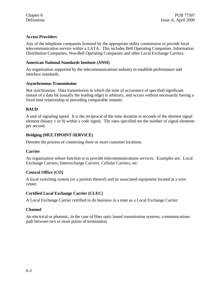# **Access Providers**

Any of the telephone companies licensed by the appropriate utility commission to provide local telecommunication service within a LATA. This includes Bell Operating Companies, Information Distribution Companies, Non-Bell Operating Companies and other Local Exchange Carriers.

#### **American National Standards Institute (ANSI)**

An organization supported by the telecommunications industry to establish performance and interface standards.

#### **Asynchronous Transmission**

Not synchronous: Data transmission in which the time of occurrence of specified significant instant of a data bit (usually the leading edge) is arbitrary, and occurs without necessarily having a fixed time relationship to preceding comparable instants.

# **BAUD**

A unit of signaling speed. It is the reciprocal of the time duration in seconds of the shortest signal element (binary 1 or 0) within a code signal. The rates specified are the number of signal elements per second.

# **Bridging (MULTIPOINT-SERVICE)**

Denotes the process of connecting three or more customer locations.

#### **Carrier**

An organization whose function is to provide telecommunications services. Examples are: Local Exchange Carriers, Interexchange Carriers, Cellular Carriers, etc.

#### **Central Office (CO)**

A local switching system (or a portion thereof) and its associated equipment located at a wire center.

#### **Certified Local Exchange Carrier (CLEC)**

A Local Exchange Carrier certified to do business in a state as a Local Exchange Carrier.

#### **Channel**

An electrical or photonic, in the case of fiber optic based transmission systems, communications path between two or more points of termination.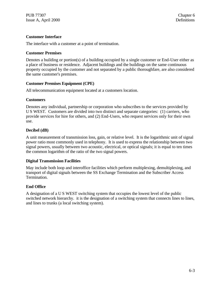#### **Customer Interface**

The interface with a customer at a point of termination.

#### **Customer Premises**

Denotes a building or portion(s) of a building occupied by a single customer or End-User either as a place of business or residence. Adjacent buildings and the buildings on the same continuous property occupied by the customer and not separated by a public thoroughfare, are also considered the same customer's premises.

# **Customer Premises Equipment (CPE)**

All telecommunication equipment located at a customers location.

#### **Customers**

Denotes any individual, partnership or corporation who subscribes to the services provided by U S WEST. Customers are divided into two distinct and separate categories: (1) carriers, who provide services for hire for others, and (2) End-Users, who request services only for their own use.

# **Decibel (dB)**

A unit measurement of transmission loss, gain, or relative level. It is the logarithmic unit of signal power ratio most commonly used in telephony. It is used to express the relationship between two signal powers, usually between two acoustic, electrical, or optical signals; it is equal to ten times the common logarithm of the ratio of the two signal powers.

#### **Digital Transmission Facilities**

May include both loop and interoffice facilities which perform multiplexing, demultiplexing, and transport of digital signals between the SS Exchange Termination and the Subscriber Access Termination.

# **End Office**

A designation of a U S WEST switching system that occupies the lowest level of the public switched network hierarchy. it is the designation of a switching system that connects lines to lines, and lines to trunks (a local switching system).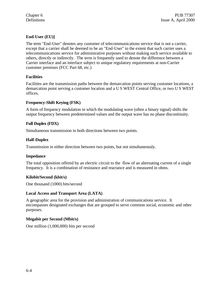# **End-User (EU)]**

The term "End-User" denotes any customer of telecommunications service that is not a carrier, except that a carrier shall be deemed to be an "End-User" to the extent that such carrier uses a telecommunications service for administrative purposes without making such service available to others, directly or indirectly. The term is frequently used to denote the difference between a Carrier interface and an interface subject to unique regulatory requirements at non-Carrier customer premises (FCC Part 68, etc.)

#### **Facilities**

Facilities are the transmission paths between the demarcation points serving customer locations, a demarcation point serving a customer location and a U S WEST Central Office, or two U S WEST offices.

# **Frequency-Shift Keying (FSK)**

A form of frequency modulation in which the modulating wave (often a binary signal) shifts the output frequency between predetermined values and the output wave has no phase discontinuity.

# **Full Duplex (FDX)**

Simultaneous transmission in both directions between two points.

# **Half-Duplex**

Transmission in either direction between two points, but not simultaneously.

#### **Impedance**

The total opposition offered by an electric circuit to the flow of an alternating current of a single frequency. It is a combination of resistance and reactance and is measured in ohms.

#### **Kilobit/Second (kbit/s)**

One thousand (1000) bits/second

#### **Local Access and Transport Area (LATA)**

A geographic area for the provision and administration of communications service. It encompasses designated exchanges that are grouped to serve common social, economic and other purposes.

#### **Megabit per Second (Mbit/s)**

One million (1,000,000) bits per second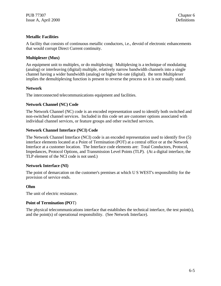#### **Metallic Facilities**

A facility that consists of continuous metallic conductors, i.e., devoid of electronic enhancements that would corrupt Direct Current continuity.

#### **Multiplexer (Mux)**

An equipment unit to multiplex, or do multiplexing: Multiplexing is a technique of modulating (analog) or interleaving (digital) multiple, relatively narrow bandwidth channels into a single channel having a wider bandwidth (analog) or higher bit-rate (digital). the term Multiplexer implies the demultiplexing function is present to reverse the process so it is not usually stated.

#### **Network**

The interconnected telecommunications equipment and facilities.

#### **Network Channel (NC) Code**

The Network Channel (NC) code is an encoded representation used to identify both switched and non-switched channel services. Included in this code set are customer options associated with individual channel services, or feature groups and other switched services.

#### **Network Channel Interface (NCI) Code**

The Network Channel Interface (NCI) code is an encoded representation used to identify five (5) interface elements located at a Point of Termination (POT) at a central office or at the Network Interface at a customer location. The Interface code elements are: Total Conductors, Protocol, Impedances, Protocol Options, and Transmission Level Points (TLP). (At a digital interface, the TLP element of the NCI code is not used.)

#### **Network Interface (NI)**

The point of demarcation on the customer's premises at which U S WEST's responsibility for the provision of service ends.

#### **Ohm**

The unit of electric resistance.

#### **Point of Termination (PO**T)

The physical telecommunications interface that establishes the technical interface, the test point(s), and the point(s) of operational responsibility. (See Network Interface).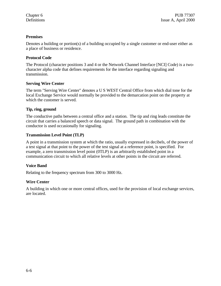# **Premises**

Denotes a building or portion(s) of a building occupied by a single customer or end-user either as a place of business or residence.

#### **Protocol Code**

The Protocol (character positions 3 and 4 or the Network Channel Interface [NCI] Code) is a twocharacter alpha code that defines requirements for the interface regarding signaling and transmission.

#### **Serving Wire Center**

The term "Serving Wire Center" denotes a U S WEST Central Office from which dial tone for the local Exchange Service would normally be provided to the demarcation point on the property at which the customer is served.

# **Tip, ring, ground**

The conductive paths between a central office and a station. The tip and ring leads constitute the circuit that carries a balanced speech or data signal. The ground path in combination with the conductor is used occasionally for signaling.

#### **Transmission Level Point (TLP)**

A point in a transmission system at which the ratio, usually expressed in decibels, of the power of a test signal at that point to the power of the test signal at a reference point, is specified. For example, a zero transmission level point (0TLP) is an arbitrarily established point in a communication circuit to which all relative levels at other points in the circuit are referred.

# **Voice Band**

Relating to the frequency spectrum from 300 to 3000 Hz.

# **Wire Center**

A building in which one or more central offices, used for the provision of local exchange services, are located.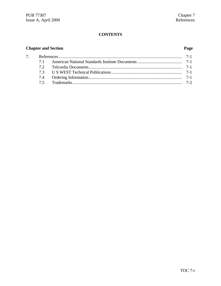# **CONTENTS**

# **Chapter and Section Page**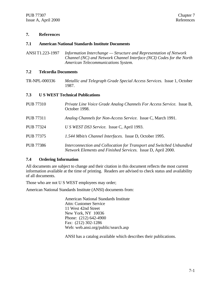#### **7. References**

#### **7.1 American National Standards Institute Documents**

ANSI T1.223-1997 *Information Interchange — Structure and Representation of Network Channel (NC) and Network Channel Interface (NCI) Codes for the North American Telecommunications System.*

#### **7.2 Telcordia Documents**

TR-NPL-000336 *Metallic and Telegraph Grade Special Access Services.* Issue 1, October 1987.

#### **7.3 U S WEST Technical Publications**

| <b>PUB 77310</b> | Private Line Voice Grade Analog Channels For Access Service. Issue B,<br>October 1998.                                               |
|------------------|--------------------------------------------------------------------------------------------------------------------------------------|
| <b>PUB 77311</b> | Analog Channels for Non-Access Service. Issue C, March 1991.                                                                         |
| <b>PUB 77324</b> | U S WEST DS3 Service. Issue C, April 1993.                                                                                           |
| <b>PUB 77375</b> | 1.544 Mbit/s Channel Interfaces. Issue D, October 1995.                                                                              |
| <b>PUB 77386</b> | Interconnection and Collocation for Transport and Switched Unbundled<br>Network Elements and Finished Services. Issue D, April 2000. |

#### **7.4 Ordering Information**

All documents are subject to change and their citation in this document reflects the most current information available at the time of printing. Readers are advised to check status and availability of all documents.

Those who are not U S WEST employees may order;

American National Standards Institute (ANSI) documents from:

American National Standards Institute Attn: Customer Service 11 West 42nd Street New York, NY 10036 Phone: (212) 642-4900 Fax: (212) 302-1286 Web: web.ansi.org/public/search.asp

ANSI has a catalog available which describes their publications.